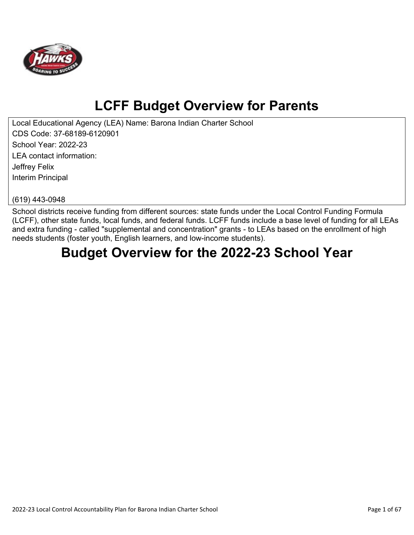

# **LCFF Budget Overview for Parents**

Local Educational Agency (LEA) Name: Barona Indian Charter School CDS Code: 37-68189-6120901 School Year: 2022-23 LEA contact information: Jeffrey Felix Interim Principal

(619) 443-0948

School districts receive funding from different sources: state funds under the Local Control Funding Formula (LCFF), other state funds, local funds, and federal funds. LCFF funds include a base level of funding for all LEAs and extra funding - called "supplemental and concentration" grants - to LEAs based on the enrollment of high needs students (foster youth, English learners, and low-income students).

# **Budget Overview for the 2022-23 School Year**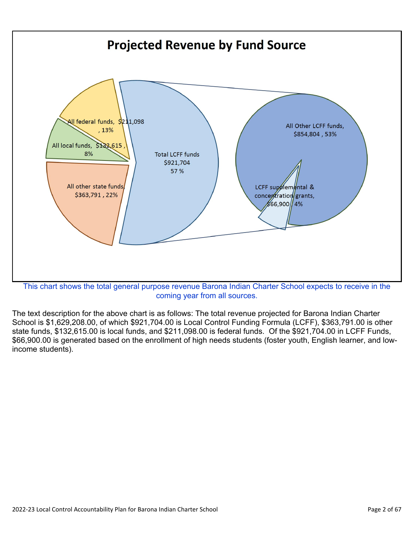

coming year from all sources.

The text description for the above chart is as follows: The total revenue projected for Barona Indian Charter School is \$1,629,208.00, of which \$921,704.00 is Local Control Funding Formula (LCFF), \$363,791.00 is other state funds, \$132,615.00 is local funds, and \$211,098.00 is federal funds. Of the \$921,704.00 in LCFF Funds, \$66,900.00 is generated based on the enrollment of high needs students (foster youth, English learner, and lowincome students).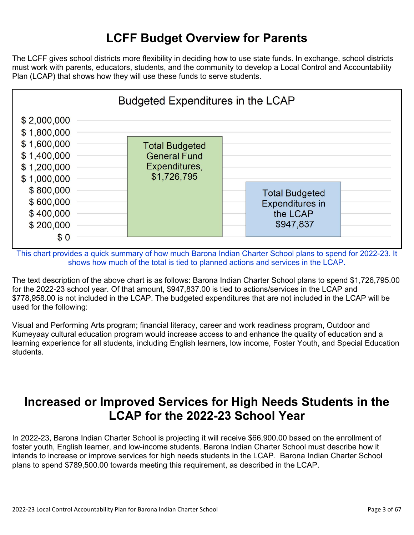## **LCFF Budget Overview for Parents**

The LCFF gives school districts more flexibility in deciding how to use state funds. In exchange, school districts must work with parents, educators, students, and the community to develop a Local Control and Accountability Plan (LCAP) that shows how they will use these funds to serve students.



This chart provides a quick summary of how much Barona Indian Charter School plans to spend for 2022-23. It shows how much of the total is tied to planned actions and services in the LCAP.

The text description of the above chart is as follows: Barona Indian Charter School plans to spend \$1,726,795.00 for the 2022-23 school year. Of that amount, \$947,837.00 is tied to actions/services in the LCAP and \$778,958.00 is not included in the LCAP. The budgeted expenditures that are not included in the LCAP will be used for the following:

Visual and Performing Arts program; financial literacy, career and work readiness program, Outdoor and Kumeyaay cultural education program would increase access to and enhance the quality of education and a learning experience for all students, including English learners, low income, Foster Youth, and Special Education students.

## **Increased or Improved Services for High Needs Students in the LCAP for the 2022-23 School Year**

In 2022-23, Barona Indian Charter School is projecting it will receive \$66,900.00 based on the enrollment of foster youth, English learner, and low-income students. Barona Indian Charter School must describe how it intends to increase or improve services for high needs students in the LCAP. Barona Indian Charter School plans to spend \$789,500.00 towards meeting this requirement, as described in the LCAP.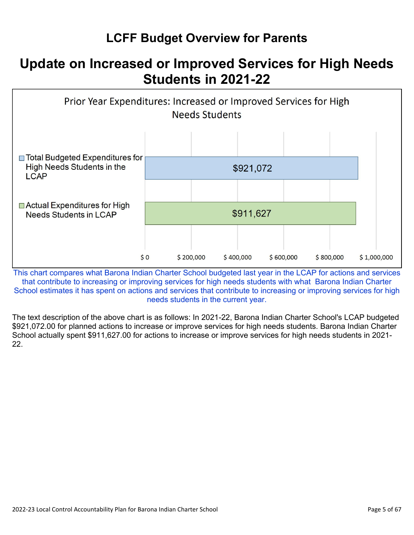# **LCFF Budget Overview for Parents**

# **Update on Increased or Improved Services for High Needs Students in 2021-22**



This chart compares what Barona Indian Charter School budgeted last year in the LCAP for actions and services that contribute to increasing or improving services for high needs students with what Barona Indian Charter School estimates it has spent on actions and services that contribute to increasing or improving services for high needs students in the current year.

The text description of the above chart is as follows: In 2021-22, Barona Indian Charter School's LCAP budgeted \$921,072.00 for planned actions to increase or improve services for high needs students. Barona Indian Charter School actually spent \$911,627.00 for actions to increase or improve services for high needs students in 2021- 22.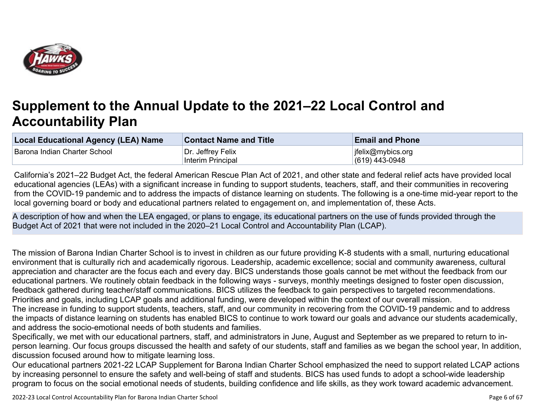

# **Supplement to the Annual Update to the 2021–22 Local Control and Accountability Plan**

| <b>Local Educational Agency (LEA) Name</b> | <b>Contact Name and Title</b> | <b>Email and Phone</b> |
|--------------------------------------------|-------------------------------|------------------------|
| Barona Indian Charter School               | Dr. Jeffrey Felix             | ifelix@mybics.org      |
|                                            | Interim Principal             | $(619)$ 443-0948       |

California's 2021–22 Budget Act, the federal American Rescue Plan Act of 2021, and other state and federal relief acts have provided local educational agencies (LEAs) with a significant increase in funding to support students, teachers, staff, and their communities in recovering from the COVID-19 pandemic and to address the impacts of distance learning on students. The following is a one-time mid-year report to the local governing board or body and educational partners related to engagement on, and implementation of, these Acts.

A description of how and when the LEA engaged, or plans to engage, its educational partners on the use of funds provided through the Budget Act of 2021 that were not included in the 2020–21 Local Control and Accountability Plan (LCAP).

The mission of Barona Indian Charter School is to invest in children as our future providing K-8 students with a small, nurturing educational environment that is culturally rich and academically rigorous. Leadership, academic excellence; social and community awareness, cultural appreciation and character are the focus each and every day. BICS understands those goals cannot be met without the feedback from our educational partners. We routinely obtain feedback in the following ways - surveys, monthly meetings designed to foster open discussion, feedback gathered during teacher/staff communications. BICS utilizes the feedback to gain perspectives to targeted recommendations. Priorities and goals, including LCAP goals and additional funding, were developed within the context of our overall mission.

The increase in funding to support students, teachers, staff, and our community in recovering from the COVID-19 pandemic and to address the impacts of distance learning on students has enabled BICS to continue to work toward our goals and advance our students academically, and address the socio-emotional needs of both students and families.

Specifically, we met with our educational partners, staff, and administrators in June, August and September as we prepared to return to inperson learning. Our focus groups discussed the health and safety of our students, staff and families as we began the school year, In addition, discussion focused around how to mitigate learning loss.

Our educational partners 2021-22 LCAP Supplement for Barona Indian Charter School emphasized the need to support related LCAP actions by increasing personnel to ensure the safety and well-being of staff and students. BICS has used funds to adopt a school-wide leadership program to focus on the social emotional needs of students, building confidence and life skills, as they work toward academic advancement.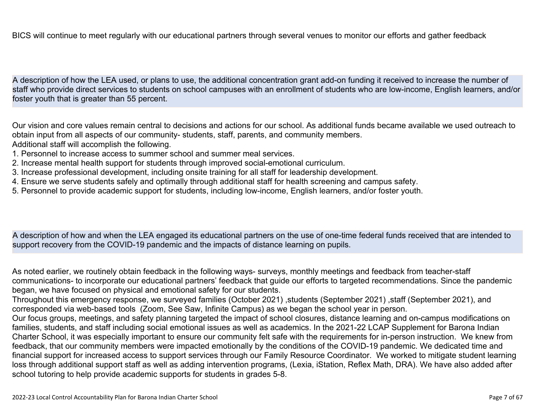BICS will continue to meet regularly with our educational partners through several venues to monitor our efforts and gather feedback

A description of how the LEA used, or plans to use, the additional concentration grant add-on funding it received to increase the number of staff who provide direct services to students on school campuses with an enrollment of students who are low-income, English learners, and/or foster youth that is greater than 55 percent.

Our vision and core values remain central to decisions and actions for our school. As additional funds became available we used outreach to obtain input from all aspects of our community- students, staff, parents, and community members. Additional staff will accomplish the following.

- 1. Personnel to increase access to summer school and summer meal services.
- 2. Increase mental health support for students through improved social-emotional curriculum.
- 3. Increase professional development, including onsite training for all staff for leadership development.
- 4. Ensure we serve students safely and optimally through additional staff for health screening and campus safety.
- 5. Personnel to provide academic support for students, including low-income, English learners, and/or foster youth.

A description of how and when the LEA engaged its educational partners on the use of one-time federal funds received that are intended to support recovery from the COVID-19 pandemic and the impacts of distance learning on pupils.

As noted earlier, we routinely obtain feedback in the following ways- surveys, monthly meetings and feedback from teacher-staff communications- to incorporate our educational partners' feedback that guide our efforts to targeted recommendations. Since the pandemic began, we have focused on physical and emotional safety for our students.

Throughout this emergency response, we surveyed families (October 2021) ,students (September 2021) ,staff (September 2021), and corresponded via web-based tools (Zoom, See Saw, Infinite Campus) as we began the school year in person.

Our focus groups, meetings, and safety planning targeted the impact of school closures, distance learning and on-campus modifications on families, students, and staff including social emotional issues as well as academics. In the 2021-22 LCAP Supplement for Barona Indian Charter School, it was especially important to ensure our community felt safe with the requirements for in-person instruction. We knew from feedback, that our community members were impacted emotionally by the conditions of the COVID-19 pandemic. We dedicated time and financial support for increased access to support services through our Family Resource Coordinator. We worked to mitigate student learning loss through additional support staff as well as adding intervention programs, (Lexia, iStation, Reflex Math, DRA). We have also added after school tutoring to help provide academic supports for students in grades 5-8.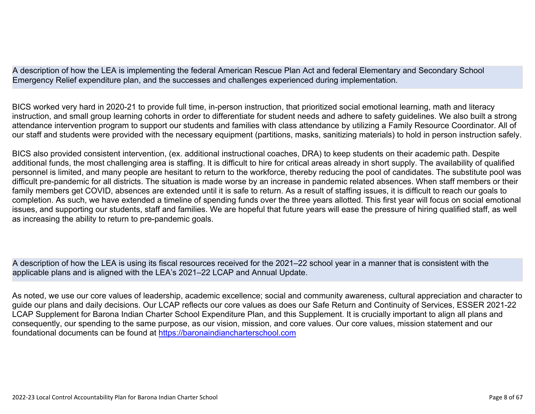A description of how the LEA is implementing the federal American Rescue Plan Act and federal Elementary and Secondary School Emergency Relief expenditure plan, and the successes and challenges experienced during implementation.

BICS worked very hard in 2020-21 to provide full time, in-person instruction, that prioritized social emotional learning, math and literacy instruction, and small group learning cohorts in order to differentiate for student needs and adhere to safety guidelines. We also built a strong attendance intervention program to support our students and families with class attendance by utilizing a Family Resource Coordinator. All of our staff and students were provided with the necessary equipment (partitions, masks, sanitizing materials) to hold in person instruction safely.

BICS also provided consistent intervention, (ex. additional instructional coaches, DRA) to keep students on their academic path. Despite additional funds, the most challenging area is staffing. It is difficult to hire for critical areas already in short supply. The availability of qualified personnel is limited, and many people are hesitant to return to the workforce, thereby reducing the pool of candidates. The substitute pool was difficult pre-pandemic for all districts. The situation is made worse by an increase in pandemic related absences. When staff members or their family members get COVID, absences are extended until it is safe to return. As a result of staffing issues, it is difficult to reach our goals to completion. As such, we have extended a timeline of spending funds over the three years allotted. This first year will focus on social emotional issues, and supporting our students, staff and families. We are hopeful that future years will ease the pressure of hiring qualified staff, as well as increasing the ability to return to pre-pandemic goals.

A description of how the LEA is using its fiscal resources received for the 2021–22 school year in a manner that is consistent with the applicable plans and is aligned with the LEA's 2021–22 LCAP and Annual Update.

As noted, we use our core values of leadership, academic excellence; social and community awareness, cultural appreciation and character to guide our plans and daily decisions. Our LCAP reflects our core values as does our Safe Return and Continuity of Services, ESSER 2021-22 LCAP Supplement for Barona Indian Charter School Expenditure Plan, and this Supplement. It is crucially important to align all plans and consequently, our spending to the same purpose, as our vision, mission, and core values. Our core values, mission statement and our foundational documents can be found at [https://baronaindiancharterschool.com](https://baronaindiancharterschool.com/)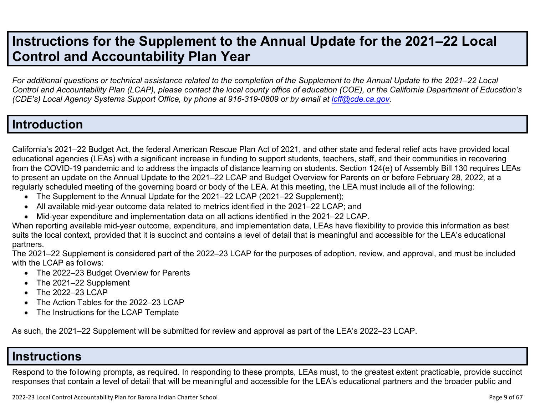# **Instructions for the Supplement to the Annual Update for the 2021–22 Local Control and Accountability Plan Year**

*For additional questions or technical assistance related to the completion of the Supplement to the Annual Update to the 2021–22 Local Control and Accountability Plan (LCAP), please contact the local county office of education (COE), or the California Department of Education's (CDE's)* Local Agency Systems Support Office, by phone at 916-319-0809 or by email at *[lcff@cde.ca.gov](mailto:lcff@cde.ca.gov)*.

## **Introduction**

California's 2021–22 Budget Act, the federal American Rescue Plan Act of 2021, and other state and federal relief acts have provided local educational agencies (LEAs) with a significant increase in funding to support students, teachers, staff, and their communities in recovering from the COVID-19 pandemic and to address the impacts of distance learning on students. Section 124(e) of Assembly Bill 130 requires LEAs to present an update on the Annual Update to the 2021–22 LCAP and Budget Overview for Parents on or before February 28, 2022, at a regularly scheduled meeting of the governing board or body of the LEA. At this meeting, the LEA must include all of the following:

- The Supplement to the Annual Update for the 2021–22 LCAP (2021–22 Supplement);
- All available mid-year outcome data related to metrics identified in the 2021–22 LCAP; and
- Mid-year expenditure and implementation data on all actions identified in the 2021–22 LCAP.

When reporting available mid-year outcome, expenditure, and implementation data, LEAs have flexibility to provide this information as best suits the local context, provided that it is succinct and contains a level of detail that is meaningful and accessible for the LEA's educational partners.

The 2021–22 Supplement is considered part of the 2022–23 LCAP for the purposes of adoption, review, and approval, and must be included with the LCAP as follows:

- The 2022–23 Budget Overview for Parents
- The 2021-22 Supplement
- The 2022-23 LCAP
- The Action Tables for the 2022–23 LCAP
- The Instructions for the LCAP Template

As such, the 2021–22 Supplement will be submitted for review and approval as part of the LEA's 2022–23 LCAP.

### **Instructions**

Respond to the following prompts, as required. In responding to these prompts, LEAs must, to the greatest extent practicable, provide succinct responses that contain a level of detail that will be meaningful and accessible for the LEA's educational partners and the broader public and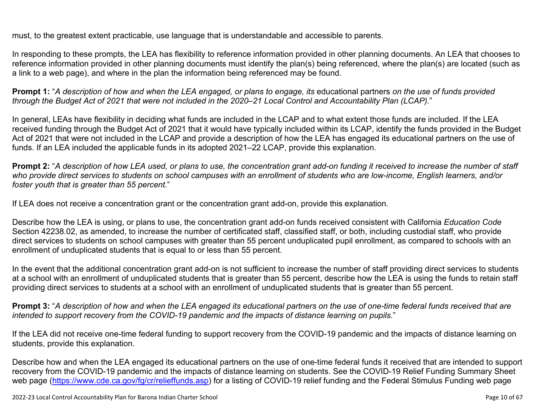must, to the greatest extent practicable, use language that is understandable and accessible to parents.

In responding to these prompts, the LEA has flexibility to reference information provided in other planning documents. An LEA that chooses to reference information provided in other planning documents must identify the plan(s) being referenced, where the plan(s) are located (such as a link to a web page), and where in the plan the information being referenced may be found.

**Prompt 1:** "*A description of how and when the LEA engaged, or plans to engage, its* educational partners *on the use of funds provided through the Budget Act of 2021 that were not included in the 2020–21 Local Control and Accountability Plan (LCAP).*"

In general, LEAs have flexibility in deciding what funds are included in the LCAP and to what extent those funds are included. If the LEA received funding through the Budget Act of 2021 that it would have typically included within its LCAP, identify the funds provided in the Budget Act of 2021 that were not included in the LCAP and provide a description of how the LEA has engaged its educational partners on the use of funds. If an LEA included the applicable funds in its adopted 2021–22 LCAP, provide this explanation.

**Prompt 2:** "*A description of how LEA used, or plans to use, the concentration grant add-on funding it received to increase the number of staff who provide direct services to students on school campuses with an enrollment of students who are low-income, English learners, and/or foster youth that is greater than 55 percent.*"

If LEA does not receive a concentration grant or the concentration grant add-on, provide this explanation.

Describe how the LEA is using, or plans to use, the concentration grant add-on funds received consistent with California *Education Code* Section 42238.02, as amended, to increase the number of certificated staff, classified staff, or both, including custodial staff, who provide direct services to students on school campuses with greater than 55 percent unduplicated pupil enrollment, as compared to schools with an enrollment of unduplicated students that is equal to or less than 55 percent.

In the event that the additional concentration grant add-on is not sufficient to increase the number of staff providing direct services to students at a school with an enrollment of unduplicated students that is greater than 55 percent, describe how the LEA is using the funds to retain staff providing direct services to students at a school with an enrollment of unduplicated students that is greater than 55 percent.

**Prompt 3:** "*A description of how and when the LEA engaged its educational partners on the use of one-time federal funds received that are intended to support recovery from the COVID-19 pandemic and the impacts of distance learning on pupils.*"

If the LEA did not receive one-time federal funding to support recovery from the COVID-19 pandemic and the impacts of distance learning on students, provide this explanation.

Describe how and when the LEA engaged its educational partners on the use of one-time federal funds it received that are intended to support recovery from the COVID-19 pandemic and the impacts of distance learning on students. See the COVID-19 Relief Funding Summary Sheet web page [\(https://www.cde.ca.gov/fg/cr/relieffunds.asp\)](https://www.cde.ca.gov/fg/cr/relieffunds.asp) for a listing of COVID-19 relief funding and the Federal Stimulus Funding web page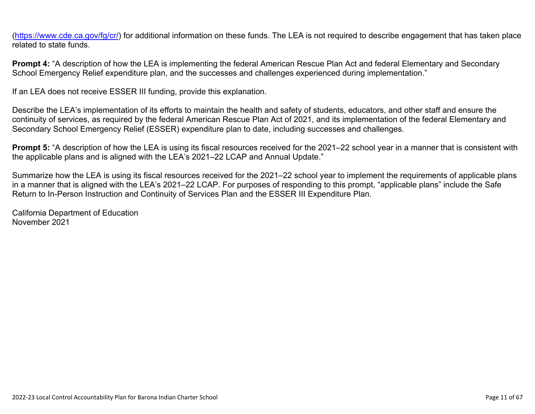(<https://www.cde.ca.gov/fg/cr/>) for additional information on these funds. The LEA is not required to describe engagement that has taken place related to state funds.

**Prompt 4:** "A description of how the LEA is implementing the federal American Rescue Plan Act and federal Elementary and Secondary School Emergency Relief expenditure plan, and the successes and challenges experienced during implementation."

If an LEA does not receive ESSER III funding, provide this explanation.

Describe the LEA's implementation of its efforts to maintain the health and safety of students, educators, and other staff and ensure the continuity of services, as required by the federal American Rescue Plan Act of 2021, and its implementation of the federal Elementary and Secondary School Emergency Relief (ESSER) expenditure plan to date, including successes and challenges.

**Prompt 5:** "A description of how the LEA is using its fiscal resources received for the 2021–22 school year in a manner that is consistent with the applicable plans and is aligned with the LEA's 2021–22 LCAP and Annual Update."

Summarize how the LEA is using its fiscal resources received for the 2021–22 school year to implement the requirements of applicable plans in a manner that is aligned with the LEA's 2021–22 LCAP. For purposes of responding to this prompt, "applicable plans" include the Safe Return to In-Person Instruction and Continuity of Services Plan and the ESSER III Expenditure Plan.

California Department of Education November 2021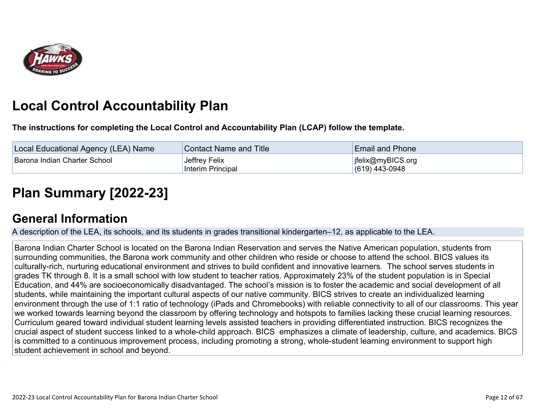

# **Local Control Accountability Plan**

**The instructions for completing the Local Control and Accountability Plan (LCAP) follow the template.**

| Local Educational Agency (LEA) Name | <b>Contact Name and Title</b>      | <b>Email and Phone</b>                |
|-------------------------------------|------------------------------------|---------------------------------------|
| Barona Indian Charter School        | Jeffrey Felix<br>Interim Principal | jfelix@myBICS.org<br>$(619)$ 443-0948 |

# **[Plan Summary \[2022-23\]](http://www.doc-tracking.com/screenshots/22LCAP/Instructions/22LCAPInstructions.htm#PlanSummary)**

## **[General Information](http://www.doc-tracking.com/screenshots/22LCAP/Instructions/22LCAPInstructions.htm#generalinformation)**

A description of the LEA, its schools, and its students in grades transitional kindergarten–12, as applicable to the LEA.

Barona Indian Charter School is located on the Barona Indian Reservation and serves the Native American population, students from surrounding communities, the Barona work community and other children who reside or choose to attend the school. BICS values its culturally-rich, nurturing educational environment and strives to build confident and innovative learners. The school serves students in grades TK through 8. It is a small school with low student to teacher ratios. Approximately 23% of the student population is in Special Education, and 44% are socioeconomically disadvantaged. The school's mission is to foster the academic and social development of all students, while maintaining the important cultural aspects of our native community. BICS strives to create an individualized learning environment through the use of 1:1 ratio of technology (iPads and Chromebooks) with reliable connectivity to all of our classrooms. This year we worked towards learning beyond the classroom by offering technology and hotspots to families lacking these crucial learning resources. Curriculum geared toward individual student learning levels assisted teachers in providing differentiated instruction. BICS recognizes the crucial aspect of student success linked to a whole-child approach. BICS emphasizes a climate of leadership, culture, and academics. BICS is committed to a continuous improvement process, including promoting a strong, whole-student learning environment to support high student achievement in school and beyond.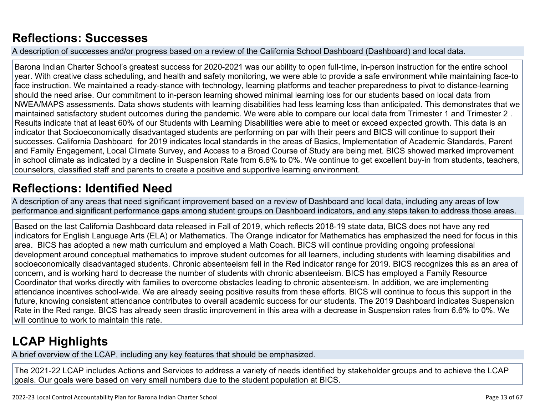# **[Reflections: Successes](http://www.doc-tracking.com/screenshots/22LCAP/Instructions/22LCAPInstructions.htm#ReflectionsSuccesses)**

A description of successes and/or progress based on a review of the California School Dashboard (Dashboard) and local data.

Barona Indian Charter School's greatest success for 2020-2021 was our ability to open full-time, in-person instruction for the entire school year. With creative class scheduling, and health and safety monitoring, we were able to provide a safe environment while maintaining face-to face instruction. We maintained a ready-stance with technology, learning platforms and teacher preparedness to pivot to distance-learning should the need arise. Our commitment to in-person learning showed minimal learning loss for our students based on local data from NWEA/MAPS assessments. Data shows students with learning disabilities had less learning loss than anticipated. This demonstrates that we maintained satisfactory student outcomes during the pandemic. We were able to compare our local data from Trimester 1 and Trimester 2 . Results indicate that at least 60% of our Students with Learning Disabilities were able to meet or exceed expected growth. This data is an indicator that Socioeconomically disadvantaged students are performing on par with their peers and BICS will continue to support their successes. California Dashboard for 2019 indicates local standards in the areas of Basics, Implementation of Academic Standards, Parent and Family Engagement, Local Climate Survey, and Access to a Broad Course of Study are being met. BICS showed marked improvement in school climate as indicated by a decline in Suspension Rate from 6.6% to 0%. We continue to get excellent buy-in from students, teachers, counselors, classified staff and parents to create a positive and supportive learning environment.

# **[Reflections: Identified Need](http://www.doc-tracking.com/screenshots/22LCAP/Instructions/22LCAPInstructions.htm#ReflectionsIdentifiedNeed)**

A description of any areas that need significant improvement based on a review of Dashboard and local data, including any areas of low performance and significant performance gaps among student groups on Dashboard indicators, and any steps taken to address those areas.

Based on the last California Dashboard data released in Fall of 2019, which reflects 2018-19 state data, BICS does not have any red indicators for English Language Arts (ELA) or Mathematics. The Orange indicator for Mathematics has emphasized the need for focus in this area. BICS has adopted a new math curriculum and employed a Math Coach. BICS will continue providing ongoing professional development around conceptual mathematics to improve student outcomes for all learners, including students with learning disabilities and socioeconomically disadvantaged students. Chronic absenteeism fell in the Red indicator range for 2019. BICS recognizes this as an area of concern, and is working hard to decrease the number of students with chronic absenteeism. BICS has employed a Family Resource Coordinator that works directly with families to overcome obstacles leading to chronic absenteeism. In addition, we are implementing attendance incentives school-wide. We are already seeing positive results from these efforts. BICS will continue to focus this support in the future, knowing consistent attendance contributes to overall academic success for our students. The 2019 Dashboard indicates Suspension Rate in the Red range. BICS has already seen drastic improvement in this area with a decrease in Suspension rates from 6.6% to 0%. We will continue to work to maintain this rate.

# **[LCAP Highlights](http://www.doc-tracking.com/screenshots/22LCAP/Instructions/22LCAPInstructions.htm#LCAPHighlights)**

A brief overview of the LCAP, including any key features that should be emphasized.

The 2021-22 LCAP includes Actions and Services to address a variety of needs identified by stakeholder groups and to achieve the LCAP goals. Our goals were based on very small numbers due to the student population at BICS.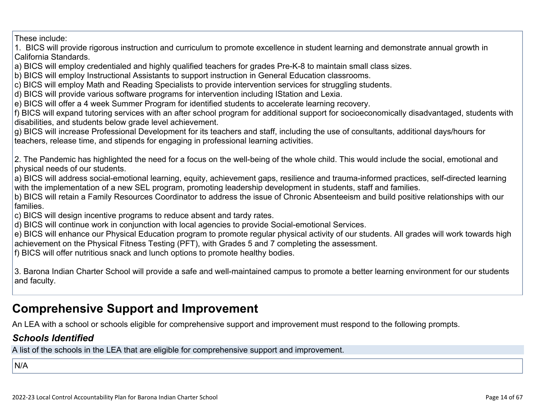These include:

1. BICS will provide rigorous instruction and curriculum to promote excellence in student learning and demonstrate annual growth in California Standards.

a) BICS will employ credentialed and highly qualified teachers for grades Pre-K-8 to maintain small class sizes.

b) BICS will employ Instructional Assistants to support instruction in General Education classrooms.

c) BICS will employ Math and Reading Specialists to provide intervention services for struggling students.

d) BICS will provide various software programs for intervention including IStation and Lexia.

e) BICS will offer a 4 week Summer Program for identified students to accelerate learning recovery.

f) BICS will expand tutoring services with an after school program for additional support for socioeconomically disadvantaged, students with disabilities, and students below grade level achievement.

g) BICS will increase Professional Development for its teachers and staff, including the use of consultants, additional days/hours for teachers, release time, and stipends for engaging in professional learning activities.

2. The Pandemic has highlighted the need for a focus on the well-being of the whole child. This would include the social, emotional and physical needs of our students.

a) BICS will address social-emotional learning, equity, achievement gaps, resilience and trauma-informed practices, self-directed learning with the implementation of a new SEL program, promoting leadership development in students, staff and families.

b) BICS will retain a Family Resources Coordinator to address the issue of Chronic Absenteeism and build positive relationships with our families.

c) BICS will design incentive programs to reduce absent and tardy rates.

d) BICS will continue work in conjunction with local agencies to provide Social-emotional Services.

e) BICS will enhance our Physical Education program to promote regular physical activity of our students. All grades will work towards high achievement on the Physical Fitness Testing (PFT), with Grades 5 and 7 completing the assessment.

f) BICS will offer nutritious snack and lunch options to promote healthy bodies.

3. Barona Indian Charter School will provide a safe and well-maintained campus to promote a better learning environment for our students and faculty.

# **Comprehensive Support and Improvement**

An LEA with a school or schools eligible for comprehensive support and improvement must respond to the following prompts.

### *[Schools Identified](http://www.doc-tracking.com/screenshots/22LCAP/Instructions/22LCAPInstructions.htm#SchoolsIdentified)*

A list of the schools in the LEA that are eligible for comprehensive support and improvement.

N/A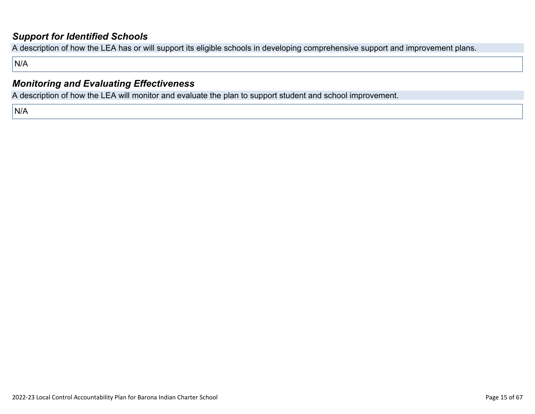### *[Support for Identified Schools](http://www.doc-tracking.com/screenshots/22LCAP/Instructions/22LCAPInstructions.htm#SupportforIdentifiedSchools)*

A description of how the LEA has or will support its eligible schools in developing comprehensive support and improvement plans.

N/A

### *[Monitoring and Evaluating Effectiveness](http://www.doc-tracking.com/screenshots/22LCAP/Instructions/22LCAPInstructions.htm#MonitoringandEvaluatingEffectiveness)*

A description of how the LEA will monitor and evaluate the plan to support student and school improvement.

N/A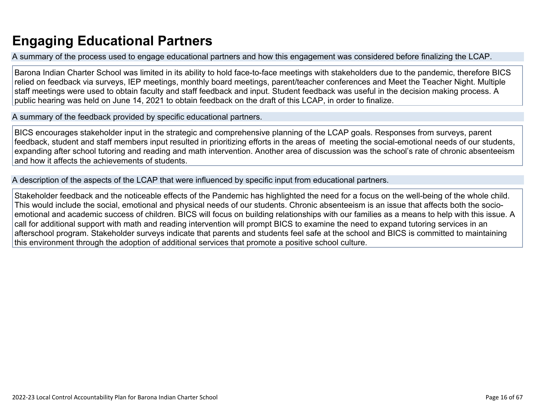# **Engaging Educational Partners**

A summary of the process used to engage educational partners and how this engagement was considered before finalizing the LCAP.

Barona Indian Charter School was limited in its ability to hold face-to-face meetings with stakeholders due to the pandemic, therefore BICS relied on feedback via surveys, IEP meetings, monthly board meetings, parent/teacher conferences and Meet the Teacher Night. Multiple staff meetings were used to obtain faculty and staff feedback and input. Student feedback was useful in the decision making process. A public hearing was held on June 14, 2021 to obtain feedback on the draft of this LCAP, in order to finalize.

A summary of the feedback provided by specific educational partners.

BICS encourages stakeholder input in the strategic and comprehensive planning of the LCAP goals. Responses from surveys, parent feedback, student and staff members input resulted in prioritizing efforts in the areas of meeting the social-emotional needs of our students, expanding after school tutoring and reading and math intervention. Another area of discussion was the school's rate of chronic absenteeism and how it affects the achievements of students.

A description of the aspects of the LCAP that were influenced by specific input from educational partners.

Stakeholder feedback and the noticeable effects of the Pandemic has highlighted the need for a focus on the well-being of the whole child. This would include the social, emotional and physical needs of our students. Chronic absenteeism is an issue that affects both the socioemotional and academic success of children. BICS will focus on building relationships with our families as a means to help with this issue. A call for additional support with math and reading intervention will prompt BICS to examine the need to expand tutoring services in an afterschool program. Stakeholder surveys indicate that parents and students feel safe at the school and BICS is committed to maintaining this environment through the adoption of additional services that promote a positive school culture.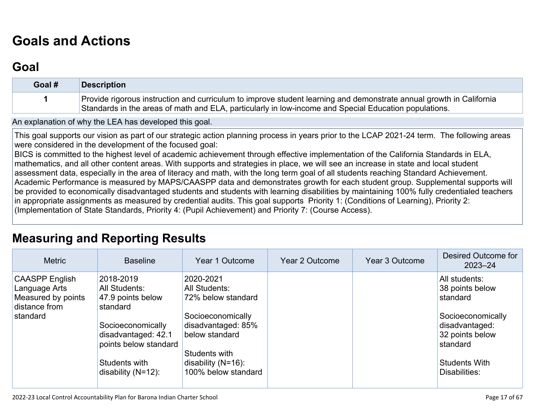# **[Goals and Actions](http://www.doc-tracking.com/screenshots/22LCAP/Instructions/22LCAPInstructions.htm#GoalsandActions)**

## **[Goal](http://www.doc-tracking.com/screenshots/22LCAP/Instructions/22LCAPInstructions.htm#goalDescription)**

| Goal # | Description                                                                                                                                                                                                                  |
|--------|------------------------------------------------------------------------------------------------------------------------------------------------------------------------------------------------------------------------------|
|        | Provide rigorous instruction and curriculum to improve student learning and demonstrate annual growth in California<br>Standards in the areas of math and ELA, particularly in low-income and Special Education populations. |

An explanation of why the LEA has developed this goal.

This goal supports our vision as part of our strategic action planning process in years prior to the LCAP 2021-24 term. The following areas were considered in the development of the focused goal:

BICS is committed to the highest level of academic achievement through effective implementation of the California Standards in ELA, mathematics, and all other content areas. With supports and strategies in place, we will see an increase in state and local student assessment data, especially in the area of literacy and math, with the long term goal of all students reaching Standard Achievement. Academic Performance is measured by MAPS/CAASPP data and demonstrates growth for each student group. Supplemental supports will be provided to economically disadvantaged students and students with learning disabilities by maintaining 100% fully credentialed teachers in appropriate assignments as measured by credential audits. This goal supports Priority 1: (Conditions of Learning), Priority 2: (Implementation of State Standards, Priority 4: (Pupil Achievement) and Priority 7: (Course Access).

## **[Measuring and Reporting Results](http://www.doc-tracking.com/screenshots/22LCAP/Instructions/22LCAPInstructions.htm#MeasuringandReportingResults)**

| <b>Metric</b>                                                                             | <b>Baseline</b>                                                                                                                                                            | Year 1 Outcome                                                                                                                                                                        | <b>Year 2 Outcome</b> | Year 3 Outcome | Desired Outcome for<br>$2023 - 24$                                                                                                                          |
|-------------------------------------------------------------------------------------------|----------------------------------------------------------------------------------------------------------------------------------------------------------------------------|---------------------------------------------------------------------------------------------------------------------------------------------------------------------------------------|-----------------------|----------------|-------------------------------------------------------------------------------------------------------------------------------------------------------------|
| <b>CAASPP English</b><br>Language Arts<br>Measured by points<br>distance from<br>standard | 2018-2019<br>All Students:<br>47.9 points below<br>standard<br>Socioeconomically<br>disadvantaged: 42.1<br>points below standard<br>Students with<br>disability $(N=12)$ : | 2020-2021<br><b>All Students:</b><br>72% below standard<br>Socioeconomically<br>disadvantaged: 85%<br>below standard<br>Students with<br>disability $(N=16)$ :<br>100% below standard |                       |                | All students:<br>38 points below<br>standard<br>Socioeconomically<br>disadvantaged:<br>32 points below<br>standard<br><b>Students With</b><br>Disabilities: |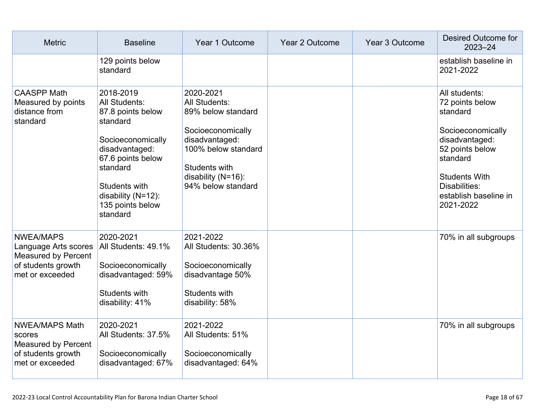| <b>Metric</b>                                                                                                   | <b>Baseline</b>                                                                                                                                                                                            | Year 1 Outcome                                                                                                                                                                     | Year 2 Outcome | Year 3 Outcome | Desired Outcome for<br>2023-24                                                                                                                                                                    |
|-----------------------------------------------------------------------------------------------------------------|------------------------------------------------------------------------------------------------------------------------------------------------------------------------------------------------------------|------------------------------------------------------------------------------------------------------------------------------------------------------------------------------------|----------------|----------------|---------------------------------------------------------------------------------------------------------------------------------------------------------------------------------------------------|
|                                                                                                                 | 129 points below<br>standard                                                                                                                                                                               |                                                                                                                                                                                    |                |                | establish baseline in<br>2021-2022                                                                                                                                                                |
| <b>CAASPP Math</b><br>Measured by points<br>distance from<br>standard                                           | 2018-2019<br>All Students:<br>87.8 points below<br>standard<br>Socioeconomically<br>disadvantaged:<br>67.6 points below<br>standard<br>Students with<br>disability (N=12):<br>135 points below<br>standard | 2020-2021<br><b>All Students:</b><br>89% below standard<br>Socioeconomically<br>disadvantaged:<br>100% below standard<br>Students with<br>disability (N=16):<br>94% below standard |                |                | All students:<br>72 points below<br>standard<br>Socioeconomically<br>disadvantaged:<br>52 points below<br>standard<br><b>Students With</b><br>Disabilities:<br>establish baseline in<br>2021-2022 |
| <b>NWEA/MAPS</b><br>Language Arts scores<br><b>Measured by Percent</b><br>of students growth<br>met or exceeded | 2020-2021<br>All Students: 49.1%<br>Socioeconomically<br>disadvantaged: 59%<br>Students with<br>disability: 41%                                                                                            | 2021-2022<br>All Students: 30.36%<br>Socioeconomically<br>disadvantage 50%<br>Students with<br>disability: 58%                                                                     |                |                | 70% in all subgroups                                                                                                                                                                              |
| <b>NWEA/MAPS Math</b><br>scores<br><b>Measured by Percent</b><br>of students growth<br>met or exceeded          | 2020-2021<br>All Students: 37.5%<br>Socioeconomically<br>disadvantaged: 67%                                                                                                                                | 2021-2022<br>All Students: 51%<br>Socioeconomically<br>disadvantaged: 64%                                                                                                          |                |                | 70% in all subgroups                                                                                                                                                                              |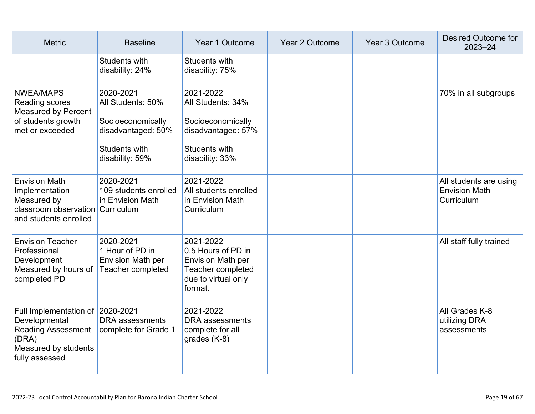| <b>Metric</b>                                                                                                                     | <b>Baseline</b>                                                                                               | Year 1 Outcome                                                                                                     | Year 2 Outcome | Year 3 Outcome | <b>Desired Outcome for</b><br>$2023 - 24$                    |
|-----------------------------------------------------------------------------------------------------------------------------------|---------------------------------------------------------------------------------------------------------------|--------------------------------------------------------------------------------------------------------------------|----------------|----------------|--------------------------------------------------------------|
|                                                                                                                                   | Students with<br>disability: 24%                                                                              | Students with<br>disability: 75%                                                                                   |                |                |                                                              |
| <b>NWEA/MAPS</b><br>Reading scores<br><b>Measured by Percent</b><br>of students growth<br>met or exceeded                         | 2020-2021<br>All Students: 50%<br>Socioeconomically<br>disadvantaged: 50%<br>Students with<br>disability: 59% | 2021-2022<br>All Students: 34%<br>Socioeconomically<br>disadvantaged: 57%<br>Students with<br>disability: 33%      |                |                | 70% in all subgroups                                         |
| <b>Envision Math</b><br>Implementation<br>Measured by<br>classroom observation Curriculum<br>and students enrolled                | 2020-2021<br>109 students enrolled<br>in Envision Math                                                        | 2021-2022<br>All students enrolled<br>in Envision Math<br>Curriculum                                               |                |                | All students are using<br><b>Envision Math</b><br>Curriculum |
| <b>Envision Teacher</b><br>Professional<br>Development<br>Measured by hours of<br>completed PD                                    | 2020-2021<br>1 Hour of PD in<br><b>Envision Math per</b><br>Teacher completed                                 | 2021-2022<br>0.5 Hours of PD in<br><b>Envision Math per</b><br>Teacher completed<br>due to virtual only<br>format. |                |                | All staff fully trained                                      |
| Full Implementation of 2020-2021<br>Developmental<br><b>Reading Assessment</b><br>(DRA)<br>Measured by students<br>fully assessed | <b>DRA</b> assessments<br>complete for Grade 1                                                                | 2021-2022<br><b>DRA</b> assessments<br>complete for all<br>grades $(K-8)$                                          |                |                | All Grades K-8<br>utilizing DRA<br>assessments               |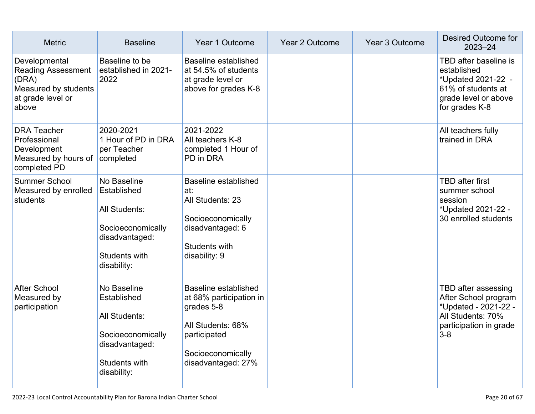| <b>Metric</b>                                                                                             | <b>Baseline</b>                                                                                                    | Year 1 Outcome                                                                                                                                | <b>Year 2 Outcome</b> | Year 3 Outcome | Desired Outcome for<br>$2023 - 24$                                                                                            |
|-----------------------------------------------------------------------------------------------------------|--------------------------------------------------------------------------------------------------------------------|-----------------------------------------------------------------------------------------------------------------------------------------------|-----------------------|----------------|-------------------------------------------------------------------------------------------------------------------------------|
| Developmental<br><b>Reading Assessment</b><br>(DRA)<br>Measured by students<br>at grade level or<br>above | Baseline to be<br>established in 2021-<br>2022                                                                     | Baseline established<br>at 54.5% of students<br>at grade level or<br>above for grades K-8                                                     |                       |                | TBD after baseline is<br>established<br>*Updated 2021-22 -<br>61% of students at<br>grade level or above<br>for grades K-8    |
| <b>DRA Teacher</b><br>Professional<br>Development<br>Measured by hours of<br>completed PD                 | 2020-2021<br>1 Hour of PD in DRA<br>per Teacher<br>completed                                                       | 2021-2022<br>All teachers K-8<br>completed 1 Hour of<br>PD in DRA                                                                             |                       |                | All teachers fully<br>trained in DRA                                                                                          |
| <b>Summer School</b><br>Measured by enrolled<br>students                                                  | No Baseline<br>Established<br>All Students:<br>Socioeconomically<br>disadvantaged:<br>Students with<br>disability: | Baseline established<br>at:<br>All Students: 23<br>Socioeconomically<br>disadvantaged: 6<br>Students with<br>disability: 9                    |                       |                | <b>TBD</b> after first<br>summer school<br>session<br>*Updated 2021-22 -<br>30 enrolled students                              |
| <b>After School</b><br>Measured by<br>participation                                                       | No Baseline<br>Established<br>All Students:<br>Socioeconomically<br>disadvantaged:<br>Students with<br>disability: | Baseline established<br>at 68% participation in<br>grades 5-8<br>All Students: 68%<br>participated<br>Socioeconomically<br>disadvantaged: 27% |                       |                | TBD after assessing<br>After School program<br>*Updated - 2021-22 -<br>All Students: 70%<br>participation in grade<br>$3 - 8$ |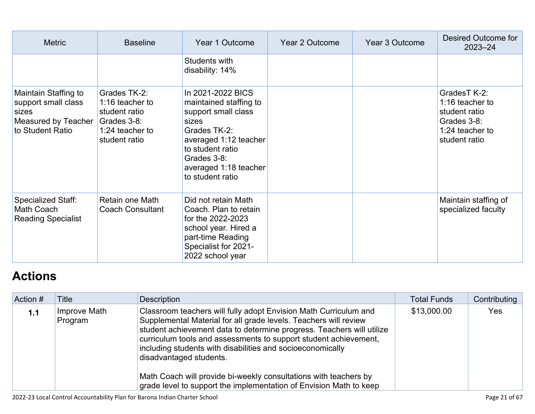| <b>Metric</b>                                                                                          | <b>Baseline</b>                                                                                     | Year 1 Outcome                                                                                                                                                                                       | Year 2 Outcome | Year 3 Outcome | Desired Outcome for<br>$2023 - 24$                                                                  |
|--------------------------------------------------------------------------------------------------------|-----------------------------------------------------------------------------------------------------|------------------------------------------------------------------------------------------------------------------------------------------------------------------------------------------------------|----------------|----------------|-----------------------------------------------------------------------------------------------------|
|                                                                                                        |                                                                                                     | Students with<br>disability: 14%                                                                                                                                                                     |                |                |                                                                                                     |
| Maintain Staffing to<br>support small class<br>sizes<br><b>Measured by Teacher</b><br>to Student Ratio | Grades TK-2:<br>1:16 teacher to<br>student ratio<br>Grades 3-8:<br>1:24 teacher to<br>student ratio | In 2021-2022 BICS<br>maintained staffing to<br>support small class<br>sizes<br>Grades TK-2:<br>averaged 1:12 teacher<br>to student ratio<br>Grades 3-8:<br>averaged 1:18 teacher<br>to student ratio |                |                | GradesT K-2:<br>1:16 teacher to<br>student ratio<br>Grades 3-8:<br>1:24 teacher to<br>student ratio |
| Specialized Staff:<br>Math Coach<br><b>Reading Specialist</b>                                          | Retain one Math<br><b>Coach Consultant</b>                                                          | Did not retain Math<br>Coach. Plan to retain<br>for the 2022-2023<br>school year. Hired a<br>part-time Reading<br>Specialist for 2021-<br>2022 school year                                           |                |                | Maintain staffing of<br>specialized faculty                                                         |

# **[Actions](http://www.doc-tracking.com/screenshots/22LCAP/Instructions/22LCAPInstructions.htm#actions)**

| Action # | Title                   | Description                                                                                                                                                                                                                                                                                                                                                                | <b>Total Funds</b> | Contributing |
|----------|-------------------------|----------------------------------------------------------------------------------------------------------------------------------------------------------------------------------------------------------------------------------------------------------------------------------------------------------------------------------------------------------------------------|--------------------|--------------|
| 1.1      | Improve Math<br>Program | Classroom teachers will fully adopt Envision Math Curriculum and<br>Supplemental Material for all grade levels. Teachers will review<br>student achievement data to determine progress. Teachers will utilize<br>curriculum tools and assessments to support student achievement,<br>including students with disabilities and socioeconomically<br>disadvantaged students. | \$13,000.00        | Yes          |
|          |                         | Math Coach will provide bi-weekly consultations with teachers by<br>grade level to support the implementation of Envision Math to keep                                                                                                                                                                                                                                     |                    |              |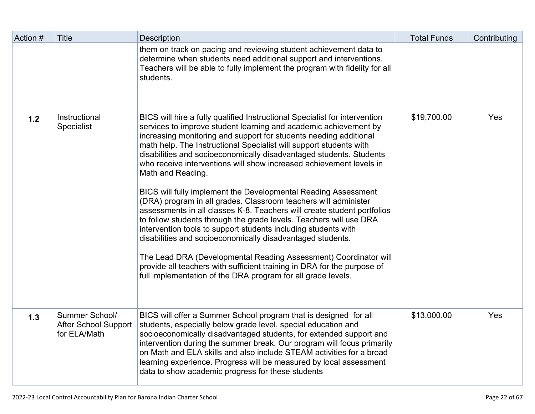| Action # | Title                                                  | <b>Description</b>                                                                                                                                                                                                                                                                                                                                                                                                                                                                                                                                                                                                                                                                                                                                                                                                                                                                                                                                                                                                                                                                                | <b>Total Funds</b> | Contributing |
|----------|--------------------------------------------------------|---------------------------------------------------------------------------------------------------------------------------------------------------------------------------------------------------------------------------------------------------------------------------------------------------------------------------------------------------------------------------------------------------------------------------------------------------------------------------------------------------------------------------------------------------------------------------------------------------------------------------------------------------------------------------------------------------------------------------------------------------------------------------------------------------------------------------------------------------------------------------------------------------------------------------------------------------------------------------------------------------------------------------------------------------------------------------------------------------|--------------------|--------------|
|          |                                                        | them on track on pacing and reviewing student achievement data to<br>determine when students need additional support and interventions.<br>Teachers will be able to fully implement the program with fidelity for all<br>students.                                                                                                                                                                                                                                                                                                                                                                                                                                                                                                                                                                                                                                                                                                                                                                                                                                                                |                    |              |
| 1.2      | Instructional<br><b>Specialist</b>                     | BICS will hire a fully qualified Instructional Specialist for intervention<br>services to improve student learning and academic achievement by<br>increasing monitoring and support for students needing additional<br>math help. The Instructional Specialist will support students with<br>disabilities and socioeconomically disadvantaged students. Students<br>who receive interventions will show increased achievement levels in<br>Math and Reading.<br>BICS will fully implement the Developmental Reading Assessment<br>(DRA) program in all grades. Classroom teachers will administer<br>assessments in all classes K-8. Teachers will create student portfolios<br>to follow students through the grade levels. Teachers will use DRA<br>intervention tools to support students including students with<br>disabilities and socioeconomically disadvantaged students.<br>The Lead DRA (Developmental Reading Assessment) Coordinator will<br>provide all teachers with sufficient training in DRA for the purpose of<br>full implementation of the DRA program for all grade levels. | \$19,700.00        | Yes          |
| 1.3      | Summer School/<br>After School Support<br>for ELA/Math | BICS will offer a Summer School program that is designed for all<br>students, especially below grade level, special education and<br>socioeconomically disadvantaged students, for extended support and<br>intervention during the summer break. Our program will focus primarily<br>on Math and ELA skills and also include STEAM activities for a broad<br>learning experience. Progress will be measured by local assessment<br>data to show academic progress for these students                                                                                                                                                                                                                                                                                                                                                                                                                                                                                                                                                                                                              | \$13,000.00        | Yes          |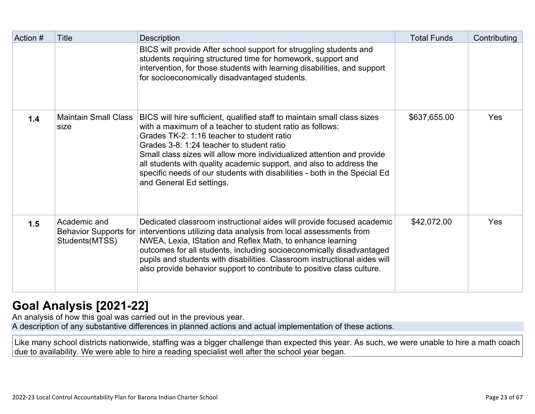| Action # | Title                                                          | <b>Description</b>                                                                                                                                                                                                                                                                                                                                                                                                                                                                        | <b>Total Funds</b> | Contributing |
|----------|----------------------------------------------------------------|-------------------------------------------------------------------------------------------------------------------------------------------------------------------------------------------------------------------------------------------------------------------------------------------------------------------------------------------------------------------------------------------------------------------------------------------------------------------------------------------|--------------------|--------------|
|          |                                                                | BICS will provide After school support for struggling students and<br>students requiring structured time for homework, support and<br>intervention, for those students with learning disabilities, and support<br>for socioeconomically disadvantaged students.                                                                                                                                                                                                                           |                    |              |
| 1.4      | <b>Maintain Small Class</b><br>size                            | BICS will hire sufficient, qualified staff to maintain small class sizes<br>with a maximum of a teacher to student ratio as follows:<br>Grades TK-2: 1:16 teacher to student ratio<br>Grades 3-8: 1:24 teacher to student ratio<br>Small class sizes will allow more individualized attention and provide<br>all students with quality academic support, and also to address the<br>specific needs of our students with disabilities - both in the Special Ed<br>and General Ed settings. | \$637,655.00       | Yes          |
| 1.5      | Academic and<br><b>Behavior Supports for</b><br>Students(MTSS) | Dedicated classroom instructional aides will provide focused academic<br>interventions utilizing data analysis from local assessments from<br>NWEA, Lexia, IStation and Reflex Math, to enhance learning<br>outcomes for all students, including socioeconomically disadvantaged<br>pupils and students with disabilities. Classroom instructional aides will<br>also provide behavior support to contribute to positive class culture.                                                   | \$42,072.00        | Yes          |

# **[Goal Analysis \[2021-22\]](http://www.doc-tracking.com/screenshots/22LCAP/Instructions/22LCAPInstructions.htm#GoalAnalysis)**

An analysis of how this goal was carried out in the previous year.

A description of any substantive differences in planned actions and actual implementation of these actions.

Like many school districts nationwide, staffing was a bigger challenge than expected this year. As such, we were unable to hire a math coach due to availability. We were able to hire a reading specialist well after the school year began.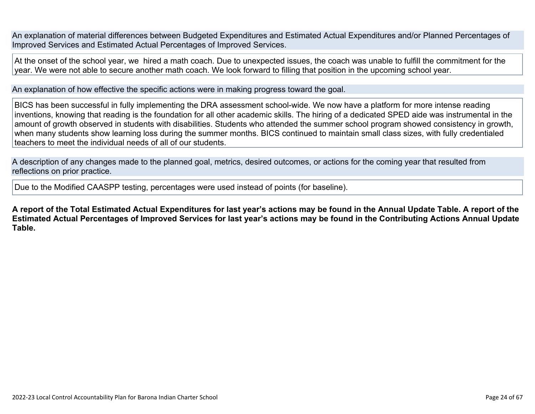An explanation of material differences between Budgeted Expenditures and Estimated Actual Expenditures and/or Planned Percentages of Improved Services and Estimated Actual Percentages of Improved Services.

At the onset of the school year, we hired a math coach. Due to unexpected issues, the coach was unable to fulfill the commitment for the year. We were not able to secure another math coach. We look forward to filling that position in the upcoming school year.

An explanation of how effective the specific actions were in making progress toward the goal.

BICS has been successful in fully implementing the DRA assessment school-wide. We now have a platform for more intense reading inventions, knowing that reading is the foundation for all other academic skills. The hiring of a dedicated SPED aide was instrumental in the amount of growth observed in students with disabilities. Students who attended the summer school program showed consistency in growth, when many students show learning loss during the summer months. BICS continued to maintain small class sizes, with fully credentialed teachers to meet the individual needs of all of our students.

A description of any changes made to the planned goal, metrics, desired outcomes, or actions for the coming year that resulted from reflections on prior practice.

Due to the Modified CAASPP testing, percentages were used instead of points (for baseline).

**A report of the Total Estimated Actual Expenditures for last year's actions may be found in the Annual Update Table. A report of the Estimated Actual Percentages of Improved Services for last year's actions may be found in the Contributing Actions Annual Update Table.**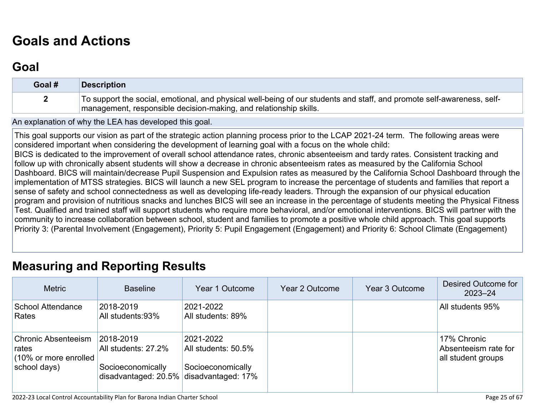# **[Goals and Actions](http://www.doc-tracking.com/screenshots/22LCAP/Instructions/22LCAPInstructions.htm#GoalsandActions)**

## **[Goal](http://www.doc-tracking.com/screenshots/22LCAP/Instructions/22LCAPInstructions.htm#goalDescription)**

| Goal # | <b>Description</b>                                                                                                                                                                          |
|--------|---------------------------------------------------------------------------------------------------------------------------------------------------------------------------------------------|
|        | To support the social, emotional, and physical well-being of our students and staff, and promote self-awareness, self-<br>management, responsible decision-making, and relationship skills. |

An explanation of why the LEA has developed this goal.

This goal supports our vision as part of the strategic action planning process prior to the LCAP 2021-24 term. The following areas were considered important when considering the development of learning goal with a focus on the whole child: BICS is dedicated to the improvement of overall school attendance rates, chronic absenteeism and tardy rates. Consistent tracking and follow up with chronically absent students will show a decrease in chronic absenteeism rates as measured by the California School Dashboard. BICS will maintain/decrease Pupil Suspension and Expulsion rates as measured by the California School Dashboard through the implementation of MTSS strategies. BICS will launch a new SEL program to increase the percentage of students and families that report a sense of safety and school connectedness as well as developing life-ready leaders. Through the expansion of our physical education program and provision of nutritious snacks and lunches BICS will see an increase in the percentage of students meeting the Physical Fitness Test. Qualified and trained staff will support students who require more behavioral, and/or emotional interventions. BICS will partner with the community to increase collaboration between school, student and families to promote a positive whole child approach. This goal supports Priority 3: (Parental Involvement (Engagement), Priority 5: Pupil Engagement (Engagement) and Priority 6: School Climate (Engagement)

### **[Measuring and Reporting Results](http://www.doc-tracking.com/screenshots/22LCAP/Instructions/22LCAPInstructions.htm#MeasuringandReportingResults)**

| <b>Metric</b>                                                | <b>Baseline</b>                                              | Year 1 Outcome                   | Year 2 Outcome | Year 3 Outcome | Desired Outcome for<br>$2023 - 24$                        |
|--------------------------------------------------------------|--------------------------------------------------------------|----------------------------------|----------------|----------------|-----------------------------------------------------------|
| <b>School Attendance</b><br>Rates                            | 2018-2019<br>All students: 93%                               | 2021-2022<br>All students: 89%   |                |                | All students 95%                                          |
| <b>Chronic Absenteeism</b><br>rates<br>(10% or more enrolled | 2018-2019<br>All students: 27.2%                             | 2021-2022<br>All students: 50.5% |                |                | 17% Chronic<br>Absenteeism rate for<br>all student groups |
| school days)                                                 | Socioeconomically<br>disadvantaged: 20.5% disadvantaged: 17% | Socioeconomically                |                |                |                                                           |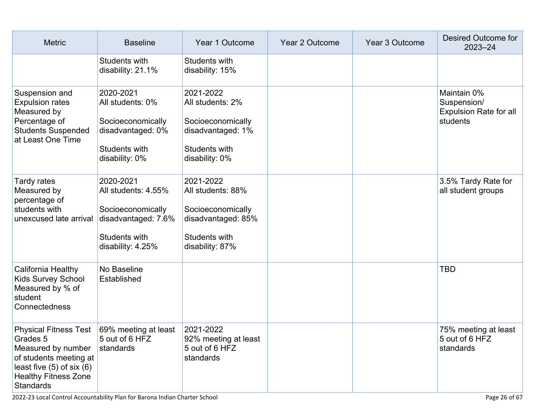| <b>Metric</b>                                                                                                                                                                              | <b>Baseline</b>                                                                                                    | Year 1 Outcome                                                                                                | <b>Year 2 Outcome</b> | Year 3 Outcome | Desired Outcome for<br>$2023 - 24$                                      |
|--------------------------------------------------------------------------------------------------------------------------------------------------------------------------------------------|--------------------------------------------------------------------------------------------------------------------|---------------------------------------------------------------------------------------------------------------|-----------------------|----------------|-------------------------------------------------------------------------|
|                                                                                                                                                                                            | <b>Students with</b><br>disability: 21.1%                                                                          | Students with<br>disability: 15%                                                                              |                       |                |                                                                         |
| Suspension and<br><b>Expulsion rates</b><br>Measured by<br>Percentage of<br><b>Students Suspended</b><br>at Least One Time                                                                 | 2020-2021<br>All students: 0%<br>Socioeconomically<br>disadvantaged: 0%<br>Students with<br>disability: 0%         | 2021-2022<br>All students: 2%<br>Socioeconomically<br>disadvantaged: 1%<br>Students with<br>disability: 0%    |                       |                | Maintain 0%<br>Suspension/<br><b>Expulsion Rate for all</b><br>students |
| Tardy rates<br>Measured by<br>percentage of<br>students with<br>unexcused late arrival                                                                                                     | 2020-2021<br>All students: 4.55%<br>Socioeconomically<br>disadvantaged: 7.6%<br>Students with<br>disability: 4.25% | 2021-2022<br>All students: 88%<br>Socioeconomically<br>disadvantaged: 85%<br>Students with<br>disability: 87% |                       |                | 3.5% Tardy Rate for<br>all student groups                               |
| California Healthy<br>Kids Survey School<br>Measured by % of<br>student<br>Connectedness                                                                                                   | No Baseline<br>Established                                                                                         |                                                                                                               |                       |                | <b>TBD</b>                                                              |
| Physical Fitness Test 69% meeting at least<br>Grades 5<br>Measured by number<br>of students meeting at<br>least five $(5)$ of six $(6)$<br><b>Healthy Fitness Zone</b><br><b>Standards</b> | 5 out of 6 HFZ<br>standards                                                                                        | 2021-2022<br>92% meeting at least<br>5 out of 6 HFZ<br>standards                                              |                       |                | 75% meeting at least<br>5 out of 6 HFZ<br>standards                     |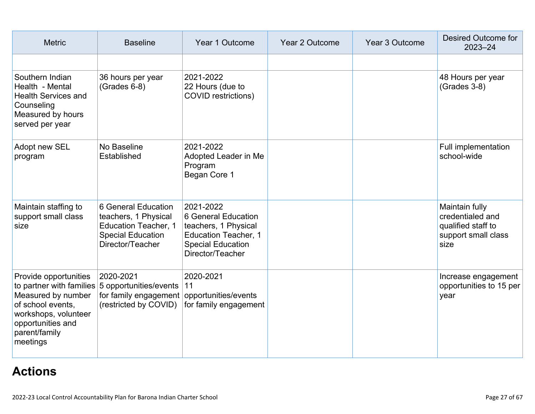| <b>Metric</b>                                                                                                                              | <b>Baseline</b>                                                                                                                        | Year 1 Outcome                                                                                                                          | Year 2 Outcome | Year 3 Outcome | <b>Desired Outcome for</b><br>2023-24                                                   |
|--------------------------------------------------------------------------------------------------------------------------------------------|----------------------------------------------------------------------------------------------------------------------------------------|-----------------------------------------------------------------------------------------------------------------------------------------|----------------|----------------|-----------------------------------------------------------------------------------------|
|                                                                                                                                            |                                                                                                                                        |                                                                                                                                         |                |                |                                                                                         |
| Southern Indian<br>Health - Mental<br><b>Health Services and</b><br>Counseling<br>Measured by hours<br>served per year                     | 36 hours per year<br>$(Grades 6-8)$                                                                                                    | 2021-2022<br>22 Hours (due to<br>COVID restrictions)                                                                                    |                |                | 48 Hours per year<br>$(Grades 3-8)$                                                     |
| Adopt new SEL<br>program                                                                                                                   | No Baseline<br>Established                                                                                                             | 2021-2022<br>Adopted Leader in Me<br>Program<br>Began Core 1                                                                            |                |                | Full implementation<br>school-wide                                                      |
| Maintain staffing to<br>support small class<br>size                                                                                        | 6 General Education<br>teachers, 1 Physical<br><b>Education Teacher, 1</b><br><b>Special Education</b><br>Director/Teacher             | 2021-2022<br>6 General Education<br>teachers, 1 Physical<br><b>Education Teacher, 1</b><br><b>Special Education</b><br>Director/Teacher |                |                | Maintain fully<br>credentialed and<br>qualified staff to<br>support small class<br>size |
| Provide opportunities<br>Measured by number<br>of school events.<br>workshops, volunteer<br>opportunities and<br>parent/family<br>meetings | 2020-2021<br>to partner with families 5 opportunities/events 11<br>for family engagement opportunities/events<br>(restricted by COVID) | 2020-2021<br>for family engagement                                                                                                      |                |                | Increase engagement<br>opportunities to 15 per<br>year                                  |

# **[Actions](http://www.doc-tracking.com/screenshots/22LCAP/Instructions/22LCAPInstructions.htm#actions)**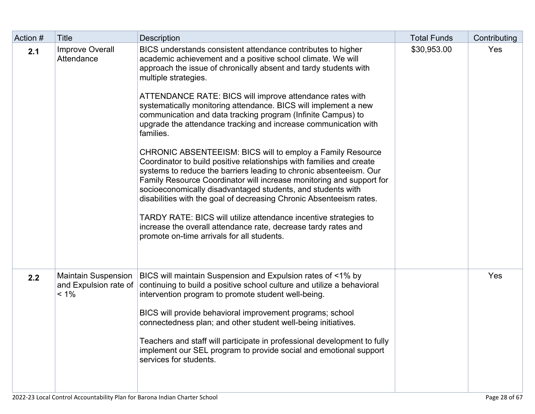| Action # | <b>Title</b>                                                   | Description                                                                                                                                                                                                                                                                                                                                                                                                                                                                                                                                                                                                                                                                                                                                                                                                                                                                                                                                                                                                                                                                                                          | <b>Total Funds</b> | Contributing |
|----------|----------------------------------------------------------------|----------------------------------------------------------------------------------------------------------------------------------------------------------------------------------------------------------------------------------------------------------------------------------------------------------------------------------------------------------------------------------------------------------------------------------------------------------------------------------------------------------------------------------------------------------------------------------------------------------------------------------------------------------------------------------------------------------------------------------------------------------------------------------------------------------------------------------------------------------------------------------------------------------------------------------------------------------------------------------------------------------------------------------------------------------------------------------------------------------------------|--------------------|--------------|
| 2.1      | <b>Improve Overall</b><br>Attendance                           | BICS understands consistent attendance contributes to higher<br>academic achievement and a positive school climate. We will<br>approach the issue of chronically absent and tardy students with<br>multiple strategies.<br>ATTENDANCE RATE: BICS will improve attendance rates with<br>systematically monitoring attendance. BICS will implement a new<br>communication and data tracking program (Infinite Campus) to<br>upgrade the attendance tracking and increase communication with<br>families.<br>CHRONIC ABSENTEEISM: BICS will to employ a Family Resource<br>Coordinator to build positive relationships with families and create<br>systems to reduce the barriers leading to chronic absenteeism. Our<br>Family Resource Coordinator will increase monitoring and support for<br>socioeconomically disadvantaged students, and students with<br>disabilities with the goal of decreasing Chronic Absenteeism rates.<br>TARDY RATE: BICS will utilize attendance incentive strategies to<br>increase the overall attendance rate, decrease tardy rates and<br>promote on-time arrivals for all students. | \$30,953.00        | Yes          |
| 2.2      | <b>Maintain Suspension</b><br>and Expulsion rate of<br>$< 1\%$ | BICS will maintain Suspension and Expulsion rates of <1% by<br>continuing to build a positive school culture and utilize a behavioral<br>intervention program to promote student well-being.<br>BICS will provide behavioral improvement programs; school<br>connectedness plan; and other student well-being initiatives.<br>Teachers and staff will participate in professional development to fully<br>implement our SEL program to provide social and emotional support<br>services for students.                                                                                                                                                                                                                                                                                                                                                                                                                                                                                                                                                                                                                |                    | Yes          |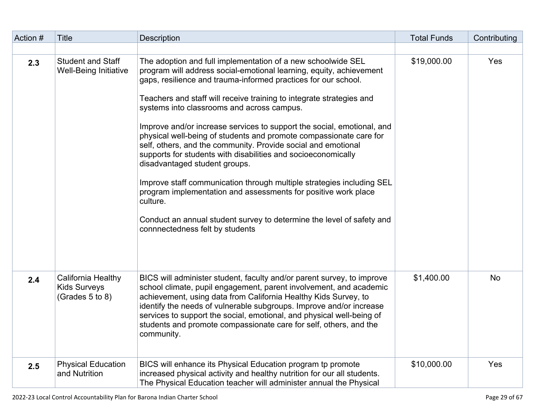| Action # | <b>Title</b>                                                 | <b>Description</b>                                                                                                                                                                                                                                                                                                                                                                                                                                                                                                                                                                                                                                                                                                                                                                                                                                                                                                | <b>Total Funds</b> | Contributing |
|----------|--------------------------------------------------------------|-------------------------------------------------------------------------------------------------------------------------------------------------------------------------------------------------------------------------------------------------------------------------------------------------------------------------------------------------------------------------------------------------------------------------------------------------------------------------------------------------------------------------------------------------------------------------------------------------------------------------------------------------------------------------------------------------------------------------------------------------------------------------------------------------------------------------------------------------------------------------------------------------------------------|--------------------|--------------|
|          |                                                              |                                                                                                                                                                                                                                                                                                                                                                                                                                                                                                                                                                                                                                                                                                                                                                                                                                                                                                                   |                    |              |
| 2.3      | <b>Student and Staff</b><br>Well-Being Initiative            | The adoption and full implementation of a new schoolwide SEL<br>program will address social-emotional learning, equity, achievement<br>gaps, resilience and trauma-informed practices for our school.<br>Teachers and staff will receive training to integrate strategies and<br>systems into classrooms and across campus.<br>Improve and/or increase services to support the social, emotional, and<br>physical well-being of students and promote compassionate care for<br>self, others, and the community. Provide social and emotional<br>supports for students with disabilities and socioeconomically<br>disadvantaged student groups.<br>Improve staff communication through multiple strategies including SEL<br>program implementation and assessments for positive work place<br>culture.<br>Conduct an annual student survey to determine the level of safety and<br>connnectedness felt by students | \$19,000.00        | Yes          |
| 2.4      | California Healthy<br><b>Kids Surveys</b><br>(Grades 5 to 8) | BICS will administer student, faculty and/or parent survey, to improve<br>school climate, pupil engagement, parent involvement, and academic<br>achievement, using data from California Healthy Kids Survey, to<br>identify the needs of vulnerable subgroups. Improve and/or increase<br>services to support the social, emotional, and physical well-being of<br>students and promote compassionate care for self, others, and the<br>community.                                                                                                                                                                                                                                                                                                                                                                                                                                                                | \$1,400.00         | <b>No</b>    |
| 2.5      | <b>Physical Education</b><br>and Nutrition                   | BICS will enhance its Physical Education program tp promote<br>increased physical activity and healthy nutrition for our all students.<br>The Physical Education teacher will administer annual the Physical                                                                                                                                                                                                                                                                                                                                                                                                                                                                                                                                                                                                                                                                                                      | \$10,000.00        | Yes          |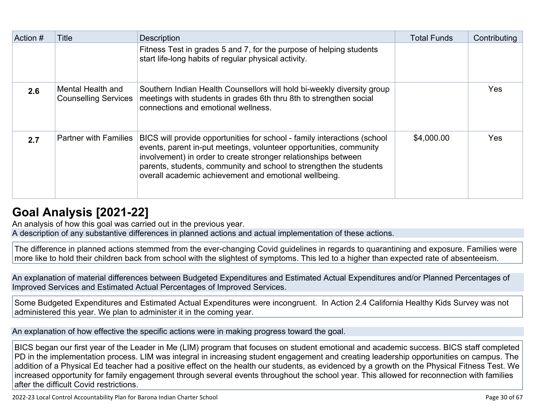| Action # | Title                                            | <b>Description</b>                                                                                                                                                                                                                                                                                                                              | <b>Total Funds</b> | Contributing |
|----------|--------------------------------------------------|-------------------------------------------------------------------------------------------------------------------------------------------------------------------------------------------------------------------------------------------------------------------------------------------------------------------------------------------------|--------------------|--------------|
|          |                                                  | Fitness Test in grades 5 and 7, for the purpose of helping students<br>start life-long habits of regular physical activity.                                                                                                                                                                                                                     |                    |              |
| 2.6      | Mental Health and<br><b>Counselling Services</b> | Southern Indian Health Counsellors will hold bi-weekly diversity group<br>meetings with students in grades 6th thru 8th to strengthen social<br>connections and emotional wellness.                                                                                                                                                             |                    | <b>Yes</b>   |
| 2.7      | <b>Partner with Families</b>                     | BICS will provide opportunities for school - family interactions (school<br>events, parent in-put meetings, volunteer opportunities, community<br>involvement) in order to create stronger relationships between<br>parents, students, community and school to strengthen the students<br>overall academic achievement and emotional wellbeing. | \$4,000.00         | <b>Yes</b>   |

# **[Goal Analysis \[2021-22\]](http://www.doc-tracking.com/screenshots/22LCAP/Instructions/22LCAPInstructions.htm#GoalAnalysis)**

An analysis of how this goal was carried out in the previous year.

A description of any substantive differences in planned actions and actual implementation of these actions.

The difference in planned actions stemmed from the ever-changing Covid guidelines in regards to quarantining and exposure. Families were more like to hold their children back from school with the slightest of symptoms. This led to a higher than expected rate of absenteeism.

An explanation of material differences between Budgeted Expenditures and Estimated Actual Expenditures and/or Planned Percentages of Improved Services and Estimated Actual Percentages of Improved Services.

Some Budgeted Expenditures and Estimated Actual Expenditures were incongruent. In Action 2.4 California Healthy Kids Survey was not administered this year. We plan to administer it in the coming year.

An explanation of how effective the specific actions were in making progress toward the goal.

BICS began our first year of the Leader in Me (LIM) program that focuses on student emotional and academic success. BICS staff completed PD in the implementation process. LIM was integral in increasing student engagement and creating leadership opportunities on campus. The addition of a Physical Ed teacher had a positive effect on the health our students, as evidenced by a growth on the Physical Fitness Test. We increased opportunity for family engagement through several events throughout the school year. This allowed for reconnection with families after the difficult Covid restrictions.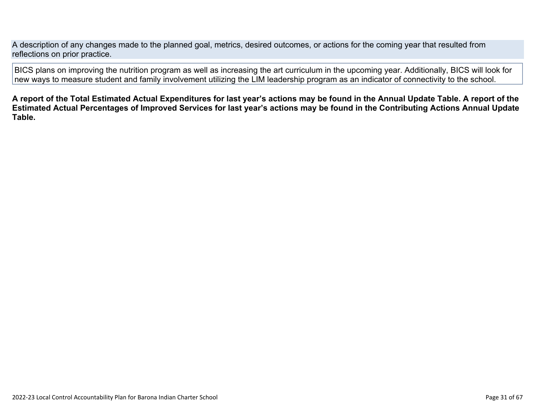A description of any changes made to the planned goal, metrics, desired outcomes, or actions for the coming year that resulted from reflections on prior practice.

BICS plans on improving the nutrition program as well as increasing the art curriculum in the upcoming year. Additionally, BICS will look for new ways to measure student and family involvement utilizing the LIM leadership program as an indicator of connectivity to the school.

**A report of the Total Estimated Actual Expenditures for last year's actions may be found in the Annual Update Table. A report of the Estimated Actual Percentages of Improved Services for last year's actions may be found in the Contributing Actions Annual Update Table.**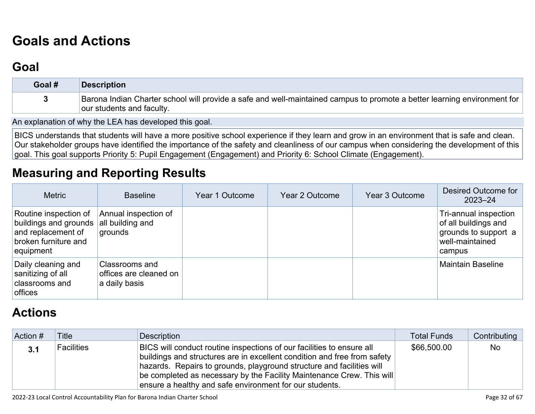# **[Goals and Actions](http://www.doc-tracking.com/screenshots/22LCAP/Instructions/22LCAPInstructions.htm#GoalsandActions)**

## **[Goal](http://www.doc-tracking.com/screenshots/22LCAP/Instructions/22LCAPInstructions.htm#goalDescription)**

| Goal # | <b>Description</b>                                                                                                                                    |
|--------|-------------------------------------------------------------------------------------------------------------------------------------------------------|
|        | Barona Indian Charter school will provide a safe and well-maintained campus to promote a better learning environment for<br>our students and faculty. |

An explanation of why the LEA has developed this goal.

BICS understands that students will have a more positive school experience if they learn and grow in an environment that is safe and clean. Our stakeholder groups have identified the importance of the safety and cleanliness of our campus when considering the development of this goal. This goal supports Priority 5: Pupil Engagement (Engagement) and Priority 6: School Climate (Engagement).

## **[Measuring and Reporting Results](http://www.doc-tracking.com/screenshots/22LCAP/Instructions/22LCAPInstructions.htm#MeasuringandReportingResults)**

| <b>Metric</b>                                                                                             | <b>Baseline</b>                                           | Year 1 Outcome | Year 2 Outcome | Year 3 Outcome | Desired Outcome for<br>$2023 - 24$                                                                 |
|-----------------------------------------------------------------------------------------------------------|-----------------------------------------------------------|----------------|----------------|----------------|----------------------------------------------------------------------------------------------------|
| Routine inspection of<br>buildings and grounds<br>and replacement of<br>broken furniture and<br>equipment | Annual inspection of<br>all building and<br>grounds       |                |                |                | Tri-annual inspection<br>of all buildings and<br>grounds to support a<br>well-maintained<br>campus |
| Daily cleaning and<br>sanitizing of all<br>classrooms and<br>offices                                      | Classrooms and<br>offices are cleaned on<br>a daily basis |                |                |                | <b>Maintain Baseline</b>                                                                           |

# **[Actions](http://www.doc-tracking.com/screenshots/22LCAP/Instructions/22LCAPInstructions.htm#actions)**

| Action # | <b>Title</b>      | Description                                                                                                                                                                                                                                                                                                                                                    | <b>Total Funds</b> | Contributing |
|----------|-------------------|----------------------------------------------------------------------------------------------------------------------------------------------------------------------------------------------------------------------------------------------------------------------------------------------------------------------------------------------------------------|--------------------|--------------|
| 3.1      | <b>Facilities</b> | BICS will conduct routine inspections of our facilities to ensure all<br>buildings and structures are in excellent condition and free from safety<br>hazards. Repairs to grounds, playground structure and facilities will<br>be completed as necessary by the Facility Maintenance Crew. This will<br>ensure a healthy and safe environment for our students. | \$66,500.00        | <b>No</b>    |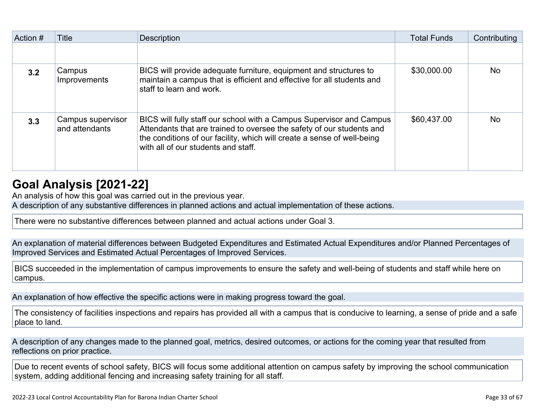| Action # | Title                               | <b>Description</b>                                                                                                                                                                                                                                              | <b>Total Funds</b> | Contributing |
|----------|-------------------------------------|-----------------------------------------------------------------------------------------------------------------------------------------------------------------------------------------------------------------------------------------------------------------|--------------------|--------------|
|          |                                     |                                                                                                                                                                                                                                                                 |                    |              |
| 3.2      | Campus<br><b>Improvements</b>       | BICS will provide adequate furniture, equipment and structures to<br>maintain a campus that is efficient and effective for all students and<br>staff to learn and work.                                                                                         | \$30,000.00        | <b>No</b>    |
| 3.3      | Campus supervisor<br>and attendants | BICS will fully staff our school with a Campus Supervisor and Campus<br>Attendants that are trained to oversee the safety of our students and<br>the conditions of our facility, which will create a sense of well-being<br>with all of our students and staff. | \$60,437.00        | <b>No</b>    |

## **[Goal Analysis \[2021-22\]](http://www.doc-tracking.com/screenshots/22LCAP/Instructions/22LCAPInstructions.htm#GoalAnalysis)**

An analysis of how this goal was carried out in the previous year.

A description of any substantive differences in planned actions and actual implementation of these actions.

There were no substantive differences between planned and actual actions under Goal 3.

An explanation of material differences between Budgeted Expenditures and Estimated Actual Expenditures and/or Planned Percentages of Improved Services and Estimated Actual Percentages of Improved Services.

BICS succeeded in the implementation of campus improvements to ensure the safety and well-being of students and staff while here on campus.

An explanation of how effective the specific actions were in making progress toward the goal.

The consistency of facilities inspections and repairs has provided all with a campus that is conducive to learning, a sense of pride and a safe place to land.

A description of any changes made to the planned goal, metrics, desired outcomes, or actions for the coming year that resulted from reflections on prior practice.

Due to recent events of school safety, BICS will focus some additional attention on campus safety by improving the school communication system, adding additional fencing and increasing safety training for all staff.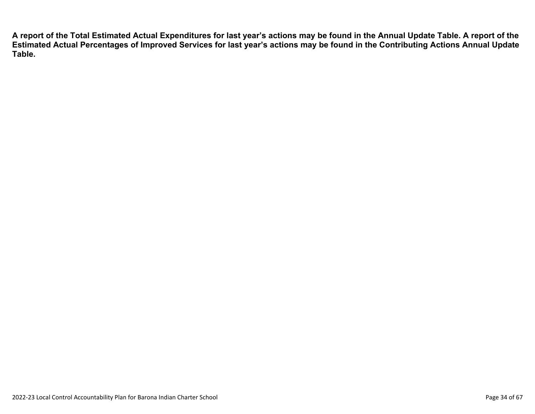**A report of the Total Estimated Actual Expenditures for last year's actions may be found in the Annual Update Table. A report of the Estimated Actual Percentages of Improved Services for last year's actions may be found in the Contributing Actions Annual Update Table.**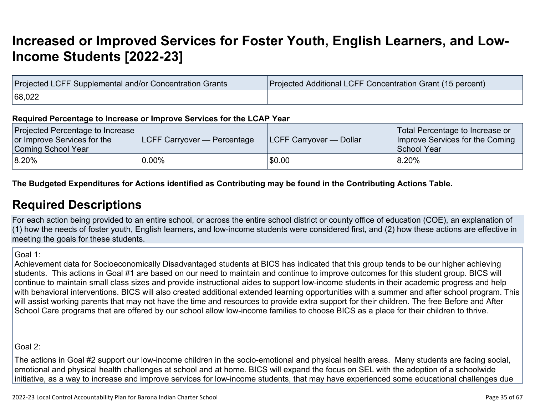# **[Increased or Improved Services for Foster Youth, English Learners, and Low-](http://www.doc-tracking.com/screenshots/22LCAP/Instructions/22LCAPInstructions.htm#IncreasedImprovedServices)[Income Students \[2022-23\]](http://www.doc-tracking.com/screenshots/22LCAP/Instructions/22LCAPInstructions.htm#IncreasedImprovedServices)**

| Projected LCFF Supplemental and/or Concentration Grants | Projected Additional LCFF Concentration Grant (15 percent) |
|---------------------------------------------------------|------------------------------------------------------------|
| 68,022                                                  |                                                            |

#### **Required Percentage to Increase or Improve Services for the LCAP Year**

| Projected Percentage to Increase<br>or Improve Services for the<br>Coming School Year | <b>LCFF Carryover — Percentage</b> | <b>ILCFF Carryover — Dollar</b> | Total Percentage to Increase or<br>Improve Services for the Coming<br>School Year |
|---------------------------------------------------------------------------------------|------------------------------------|---------------------------------|-----------------------------------------------------------------------------------|
| 8.20%                                                                                 | 0.00%                              | \$0.00                          | 8.20%                                                                             |

### **The Budgeted Expenditures for Actions identified as Contributing may be found in the Contributing Actions Table.**

### **[Required Descriptions](http://www.doc-tracking.com/screenshots/22LCAP/Instructions/22LCAPInstructions.htm#RequiredDescriptions)**

For each action being provided to an entire school, or across the entire school district or county office of education (COE), an explanation of (1) how the needs of foster youth, English learners, and low-income students were considered first, and (2) how these actions are effective in meeting the goals for these students.

Goal 1:

Achievement data for Socioeconomically Disadvantaged students at BICS has indicated that this group tends to be our higher achieving students. This actions in Goal #1 are based on our need to maintain and continue to improve outcomes for this student group. BICS will continue to maintain small class sizes and provide instructional aides to support low-income students in their academic progress and help with behavioral interventions. BICS will also created additional extended learning opportunities with a summer and after school program. This will assist working parents that may not have the time and resources to provide extra support for their children. The free Before and After School Care programs that are offered by our school allow low-income families to choose BICS as a place for their children to thrive.

Goal 2:

The actions in Goal #2 support our low-income children in the socio-emotional and physical health areas. Many students are facing social, emotional and physical health challenges at school and at home. BICS will expand the focus on SEL with the adoption of a schoolwide initiative, as a way to increase and improve services for low-income students, that may have experienced some educational challenges due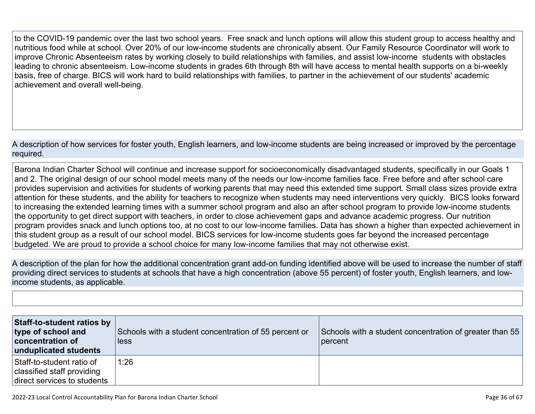to the COVID-19 pandemic over the last two school years. Free snack and lunch options will allow this student group to access healthy and nutritious food while at school. Over 20% of our low-income students are chronically absent. Our Family Resource Coordinator will work to improve Chronic Absenteeism rates by working closely to build relationships with families, and assist low-income students with obstacles leading to chronic absenteeism. Low-income students in grades 6th through 8th will have access to mental health supports on a bi-weekly basis, free of charge. BICS will work hard to build relationships with families, to partner in the achievement of our students' academic achievement and overall well-being.

A description of how services for foster youth, English learners, and low-income students are being increased or improved by the percentage required.

Barona Indian Charter School will continue and increase support for socioeconomically disadvantaged students, specifically in our Goals 1 and 2. The original design of our school model meets many of the needs our low-income families face. Free before and after school care provides supervision and activities for students of working parents that may need this extended time support. Small class sizes provide extra attention for these students, and the ability for teachers to recognize when students may need interventions very quickly. BICS looks forward to increasing the extended learning times with a summer school program and also an after school program to provide low-income students the opportunity to get direct support with teachers, in order to close achievement gaps and advance academic progress. Our nutrition program provides snack and lunch options too, at no cost to our low-income families. Data has shown a higher than expected achievement in this student group as a result of our school model. BICS services for low-income students goes far beyond the increased percentage budgeted. We are proud to provide a school choice for many low-income families that may not otherwise exist.

A description of the plan for how the additional concentration grant add-on funding identified above will be used to increase the number of staff providing direct services to students at schools that have a high concentration (above 55 percent) of foster youth, English learners, and lowincome students, as applicable.

| Staff-to-student ratios by<br>type of school and<br>concentration of<br>unduplicated students | Schools with a student concentration of 55 percent or<br>less | Schools with a student concentration of greater than 55<br>percent |
|-----------------------------------------------------------------------------------------------|---------------------------------------------------------------|--------------------------------------------------------------------|
| Staff-to-student ratio of<br>classified staff providing<br>direct services to students        | 1:26                                                          |                                                                    |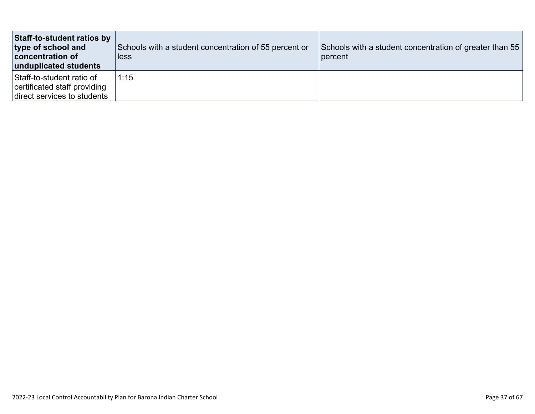| Staff-to-student ratios by<br>type of school and<br>concentration of<br>unduplicated students | Schools with a student concentration of 55 percent or<br>less | Schools with a student concentration of greater than 55<br>percent |
|-----------------------------------------------------------------------------------------------|---------------------------------------------------------------|--------------------------------------------------------------------|
| Staff-to-student ratio of<br>certificated staff providing<br>direct services to students      | 1:15                                                          |                                                                    |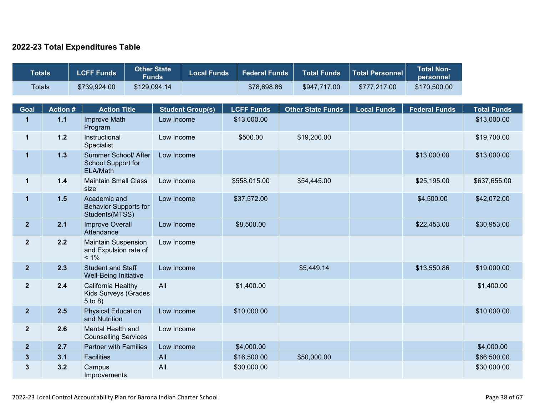### **2022-23 Total Expenditures Table**

| <b>Totals</b>  |                | <b>LCFF Funds</b>                                              | <b>Other State</b><br><b>Funds</b> | <b>Local Funds</b>      |  | <b>Federal Funds</b> | <b>Total Funds</b>       | <b>Total Personnel</b> | <b>Total Non-</b><br>personnel |                    |
|----------------|----------------|----------------------------------------------------------------|------------------------------------|-------------------------|--|----------------------|--------------------------|------------------------|--------------------------------|--------------------|
| <b>Totals</b>  |                | \$739,924.00                                                   | \$129,094.14                       |                         |  | \$78,698.86          | \$947,717.00             | \$777,217.00           | \$170,500.00                   |                    |
|                |                |                                                                |                                    |                         |  |                      |                          |                        |                                |                    |
| <b>Goal</b>    | <b>Action#</b> | <b>Action Title</b>                                            |                                    | <b>Student Group(s)</b> |  | <b>LCFF Funds</b>    | <b>Other State Funds</b> | <b>Local Funds</b>     | <b>Federal Funds</b>           | <b>Total Funds</b> |
| $\mathbf 1$    | $1.1$          | Improve Math<br>Program                                        | Low Income                         |                         |  | \$13,000.00          |                          |                        |                                | \$13,000.00        |
| $\mathbf{1}$   | $1.2$          | Instructional<br>Specialist                                    | Low Income                         |                         |  | \$500.00             | \$19,200.00              |                        |                                | \$19,700.00        |
| $\mathbf{1}$   | 1.3            | Summer School/ After<br>School Support for<br>ELA/Math         | Low Income                         |                         |  |                      |                          |                        | \$13,000.00                    | \$13,000.00        |
| $\mathbf 1$    | 1.4            | <b>Maintain Small Class</b><br>size                            | Low Income                         |                         |  | \$558,015.00         | \$54,445.00              |                        | \$25,195.00                    | \$637,655.00       |
| $\mathbf{1}$   | 1.5            | Academic and<br><b>Behavior Supports for</b><br>Students(MTSS) | Low Income                         |                         |  | \$37,572.00          |                          |                        | \$4,500.00                     | \$42,072.00        |
| $\overline{2}$ | 2.1            | <b>Improve Overall</b><br>Attendance                           |                                    | Low Income              |  | \$8,500.00           |                          |                        | \$22,453.00                    | \$30,953.00        |
| $\mathbf{2}$   | 2.2            | <b>Maintain Suspension</b><br>and Expulsion rate of<br>$< 1\%$ | Low Income                         |                         |  |                      |                          |                        |                                |                    |
| $\overline{2}$ | 2.3            | <b>Student and Staff</b><br>Well-Being Initiative              | Low Income                         |                         |  |                      | \$5,449.14               |                        | \$13,550.86                    | \$19,000.00        |
| $\overline{2}$ | 2.4            | California Healthy<br>Kids Surveys (Grades<br>$5$ to $8)$      | All                                |                         |  | \$1,400.00           |                          |                        |                                | \$1,400.00         |
| $\overline{2}$ | 2.5            | <b>Physical Education</b><br>and Nutrition                     | Low Income                         |                         |  | \$10,000.00          |                          |                        |                                | \$10,000.00        |
| $\overline{2}$ | 2.6            | Mental Health and<br><b>Counselling Services</b>               | Low Income                         |                         |  |                      |                          |                        |                                |                    |
| $\overline{2}$ | 2.7            | <b>Partner with Families</b>                                   | Low Income                         |                         |  | \$4,000.00           |                          |                        |                                | \$4,000.00         |
| $3\phantom{a}$ | 3.1            | <b>Facilities</b>                                              | All                                |                         |  | \$16,500.00          | \$50,000.00              |                        |                                | \$66,500.00        |
| $\mathbf{3}$   | 3.2            | Campus<br>Improvements                                         | All                                |                         |  | \$30,000.00          |                          |                        |                                | \$30,000.00        |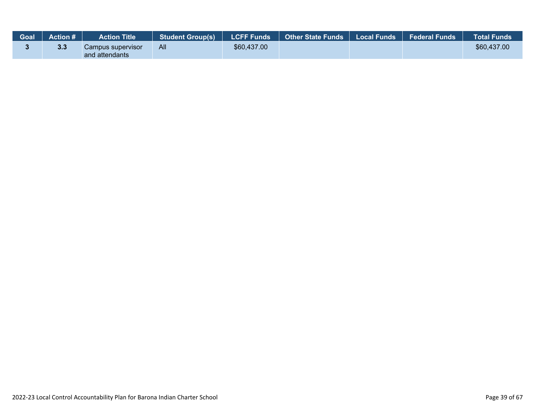| Goal | <b>Action #</b> | <b>Action Title</b>                 | Student Group(s)   LCFF Funds |             | Other State Funds   Local Funds   Federal Funds |  | <b>Total Funds</b> |
|------|-----------------|-------------------------------------|-------------------------------|-------------|-------------------------------------------------|--|--------------------|
|      | 3.3             | Campus supervisor<br>and attendants | All                           | \$60,437.00 |                                                 |  | \$60,437.00        |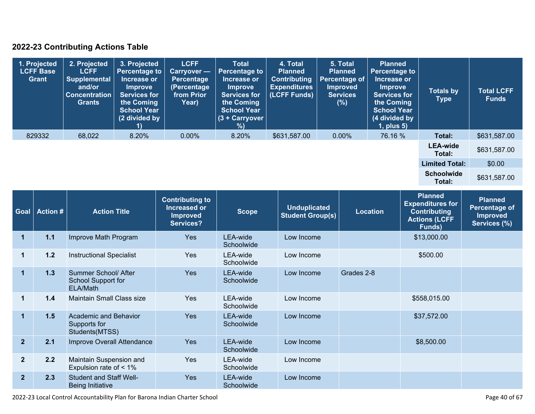### **2022-23 Contributing Actions Table**

| 1. Projected<br><b>LCFF Base</b><br><b>Grant</b> | 2. Projected<br><b>LCFF</b><br><b>Supplemental</b><br>and/or<br><b>Concentration</b><br><b>Grants</b> | 3. Projected<br><b>Percentage to</b><br>Increase or<br><b>Improve</b><br><b>Services for</b><br>the Coming<br><b>School Year</b><br>(2 divided by | <b>LCFF</b><br><b>Carryover —</b><br>Percentage<br>(Percentage<br>from Prior<br>Year) | <b>Total</b><br><b>Percentage to</b><br>Increase or<br><b>Improve</b><br><b>Services for</b><br>the Coming<br><b>School Year</b><br>(3 + Carryover<br>%) | 4. Total<br><b>Planned</b><br><b>Contributing</b><br><b>Expenditures</b><br>(LCFF Funds) | 5. Total<br><b>Planned</b><br>Percentage of<br><b>Improved</b><br><b>Services</b><br>(%) | <b>Planned</b><br><b>Percentage to</b><br>Increase or<br>Improve<br><b>Services for</b><br>the Coming<br><b>School Year</b><br>(4 divided by<br>$1$ , plus $5$ ) | <b>Totals by</b><br>Type    | <b>Total LCFF</b><br><b>Funds</b> |
|--------------------------------------------------|-------------------------------------------------------------------------------------------------------|---------------------------------------------------------------------------------------------------------------------------------------------------|---------------------------------------------------------------------------------------|----------------------------------------------------------------------------------------------------------------------------------------------------------|------------------------------------------------------------------------------------------|------------------------------------------------------------------------------------------|------------------------------------------------------------------------------------------------------------------------------------------------------------------|-----------------------------|-----------------------------------|
| 829332                                           | 68,022                                                                                                | 8.20%                                                                                                                                             | $0.00\%$                                                                              | 8.20%                                                                                                                                                    | \$631,587.00                                                                             | $0.00\%$                                                                                 | 76.16 %                                                                                                                                                          | Total:                      | \$631,587.00                      |
|                                                  |                                                                                                       |                                                                                                                                                   |                                                                                       |                                                                                                                                                          |                                                                                          |                                                                                          |                                                                                                                                                                  | <b>LEA-wide</b><br>Total:   | \$631,587.00                      |
|                                                  |                                                                                                       |                                                                                                                                                   |                                                                                       |                                                                                                                                                          |                                                                                          |                                                                                          |                                                                                                                                                                  | <b>Limited Total:</b>       | \$0.00                            |
|                                                  |                                                                                                       |                                                                                                                                                   |                                                                                       |                                                                                                                                                          |                                                                                          |                                                                                          |                                                                                                                                                                  | <b>Schoolwide</b><br>Total: | \$631,587.00                      |

| <b>Goal</b>    | <b>Action #</b> | <b>Action Title</b>                                       | <b>Contributing to</b><br>Increased or<br><b>Improved</b><br>Services? | <b>Scope</b>           | <b>Unduplicated</b><br><b>Student Group(s)</b> | <b>Location</b> | <b>Planned</b><br><b>Expenditures for</b><br><b>Contributing</b><br><b>Actions (LCFF</b><br>Funds) | <b>Planned</b><br><b>Percentage of</b><br><b>Improved</b><br>Services (%) |
|----------------|-----------------|-----------------------------------------------------------|------------------------------------------------------------------------|------------------------|------------------------------------------------|-----------------|----------------------------------------------------------------------------------------------------|---------------------------------------------------------------------------|
| $\mathbf{1}$   | $1.1$           | Improve Math Program                                      | <b>Yes</b>                                                             | LEA-wide<br>Schoolwide | Low Income                                     |                 | \$13,000.00                                                                                        |                                                                           |
| $\mathbf{1}$   | $1.2$           | <b>Instructional Specialist</b>                           | <b>Yes</b>                                                             | LEA-wide<br>Schoolwide | Low Income                                     |                 | \$500.00                                                                                           |                                                                           |
| $\mathbf{1}$   | 1.3             | Summer School/ After<br>School Support for<br>ELA/Math    | Yes                                                                    | LEA-wide<br>Schoolwide | Low Income                                     | Grades 2-8      |                                                                                                    |                                                                           |
| 1              | 1.4             | <b>Maintain Small Class size</b>                          | <b>Yes</b>                                                             | LEA-wide<br>Schoolwide | Low Income                                     |                 | \$558,015.00                                                                                       |                                                                           |
| $\mathbf 1$    | 1.5             | Academic and Behavior<br>Supports for<br>Students(MTSS)   | <b>Yes</b>                                                             | LEA-wide<br>Schoolwide | Low Income                                     |                 | \$37,572.00                                                                                        |                                                                           |
| $\overline{2}$ | 2.1             | Improve Overall Attendance                                | <b>Yes</b>                                                             | LEA-wide<br>Schoolwide | Low Income                                     |                 | \$8,500.00                                                                                         |                                                                           |
| 2 <sup>2</sup> | 2.2             | Maintain Suspension and<br>Expulsion rate of < 1%         | <b>Yes</b>                                                             | LEA-wide<br>Schoolwide | Low Income                                     |                 |                                                                                                    |                                                                           |
| $\overline{2}$ | 2.3             | <b>Student and Staff Well-</b><br><b>Being Initiative</b> | <b>Yes</b>                                                             | LEA-wide<br>Schoolwide | Low Income                                     |                 |                                                                                                    |                                                                           |

2022-23 Local Control Accountability Plan for Barona Indian Charter School **Page 10** of 67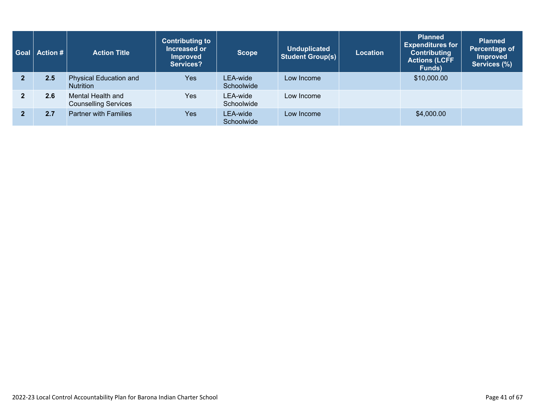|                | Goal   Action # | <b>Action Title</b>                              | <b>Contributing to</b><br>Increased or<br><b>Improved</b><br>Services? | <b>Scope</b>           | <b>Unduplicated</b><br><b>Student Group(s)</b> | <b>Location</b> | <b>Planned</b><br><b>Expenditures for</b><br><b>Contributing</b><br><b>Actions (LCFF)</b><br>Funds) | <b>Planned</b><br>Percentage of<br><b>Improved</b><br>Services (%) |
|----------------|-----------------|--------------------------------------------------|------------------------------------------------------------------------|------------------------|------------------------------------------------|-----------------|-----------------------------------------------------------------------------------------------------|--------------------------------------------------------------------|
| $\overline{2}$ | 2.5             | Physical Education and<br><b>Nutrition</b>       | Yes:                                                                   | LEA-wide<br>Schoolwide | Low Income                                     |                 | \$10,000.00                                                                                         |                                                                    |
| $\mathbf{2}$   | 2.6             | Mental Health and<br><b>Counselling Services</b> | Yes                                                                    | LEA-wide<br>Schoolwide | Low Income                                     |                 |                                                                                                     |                                                                    |
| $\overline{2}$ | 2.7             | <b>Partner with Families</b>                     | Yes                                                                    | LEA-wide<br>Schoolwide | Low Income                                     |                 | \$4,000.00                                                                                          |                                                                    |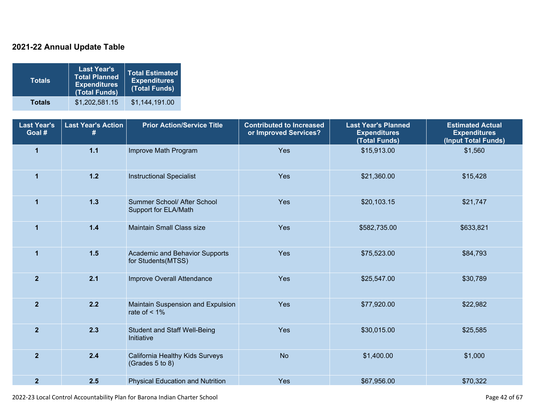### **2021-22 Annual Update Table**

| <b>Totals</b> | <b>Last Year's</b><br><b>Total Planned</b><br><b>Expenditures</b><br>(Total Funds) | <b>Total Estimated</b><br><b>Expenditures</b><br>(Total Funds) |
|---------------|------------------------------------------------------------------------------------|----------------------------------------------------------------|
| <b>Totals</b> | \$1,202,581.15                                                                     | \$1,144,191.00                                                 |

| <b>Last Year's</b><br>Goal # | <b>Last Year's Action</b><br># | <b>Prior Action/Service Title</b>                    | <b>Contributed to Increased</b><br>or Improved Services? | <b>Last Year's Planned</b><br><b>Expenditures</b><br>(Total Funds) | <b>Estimated Actual</b><br><b>Expenditures</b><br>(Input Total Funds) |
|------------------------------|--------------------------------|------------------------------------------------------|----------------------------------------------------------|--------------------------------------------------------------------|-----------------------------------------------------------------------|
| $\overline{1}$               | $1.1$                          | Improve Math Program                                 | Yes                                                      | \$15,913.00                                                        | \$1,560                                                               |
| $\mathbf{1}$                 | $1.2$                          | <b>Instructional Specialist</b>                      | Yes                                                      | \$21,360.00                                                        | \$15,428                                                              |
| $\mathbf 1$                  | $1.3$                          | Summer School/ After School<br>Support for ELA/Math  | Yes                                                      | \$20,103.15                                                        | \$21,747                                                              |
| $\blacktriangleleft$         | $1.4$                          | <b>Maintain Small Class size</b>                     | Yes                                                      | \$582,735.00                                                       | \$633,821                                                             |
| $\mathbf{1}$                 | 1.5                            | Academic and Behavior Supports<br>for Students(MTSS) | Yes                                                      | \$75,523.00                                                        | \$84,793                                                              |
| $\overline{2}$               | 2.1                            | Improve Overall Attendance                           | Yes                                                      | \$25,547.00                                                        | \$30,789                                                              |
| $\overline{2}$               | 2.2                            | Maintain Suspension and Expulsion<br>rate of $< 1\%$ | Yes                                                      | \$77,920.00                                                        | \$22,982                                                              |
| $\overline{2}$               | 2.3                            | <b>Student and Staff Well-Being</b><br>Initiative    | Yes                                                      | \$30,015.00                                                        | \$25,585                                                              |
| $\overline{2}$               | 2.4                            | California Healthy Kids Surveys<br>(Grades 5 to 8)   | <b>No</b>                                                | \$1,400.00                                                         | \$1,000                                                               |
| $\overline{2}$               | 2.5                            | <b>Physical Education and Nutrition</b>              | Yes                                                      | \$67,956.00                                                        | \$70,322                                                              |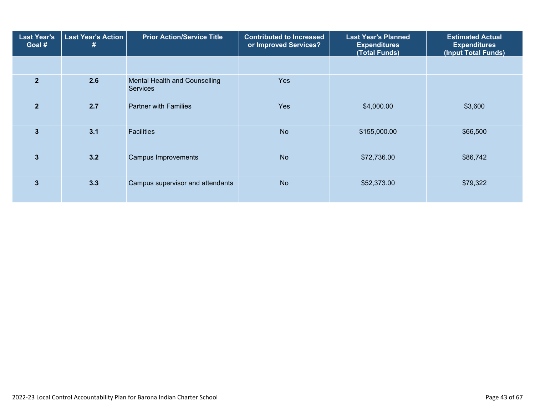| <b>Last Year's</b><br>Goal # | <b>Last Year's Action</b><br>Ħ | <b>Prior Action/Service Title</b>                | <b>Contributed to Increased</b><br>or Improved Services? | <b>Last Year's Planned</b><br><b>Expenditures</b><br>(Total Funds) | <b>Estimated Actual</b><br><b>Expenditures</b><br>(Input Total Funds) |
|------------------------------|--------------------------------|--------------------------------------------------|----------------------------------------------------------|--------------------------------------------------------------------|-----------------------------------------------------------------------|
|                              |                                |                                                  |                                                          |                                                                    |                                                                       |
| $\overline{2}$               | 2.6                            | Mental Health and Counselling<br><b>Services</b> | <b>Yes</b>                                               |                                                                    |                                                                       |
| $\overline{2}$               | 2.7                            | <b>Partner with Families</b>                     | <b>Yes</b>                                               | \$4,000.00                                                         | \$3,600                                                               |
| $\overline{3}$               | 3.1                            | <b>Facilities</b>                                | <b>No</b>                                                | \$155,000.00                                                       | \$66,500                                                              |
| 3                            | 3.2                            | <b>Campus Improvements</b>                       | <b>No</b>                                                | \$72,736.00                                                        | \$86,742                                                              |
| 3                            | 3.3                            | Campus supervisor and attendants                 | <b>No</b>                                                | \$52,373.00                                                        | \$79,322                                                              |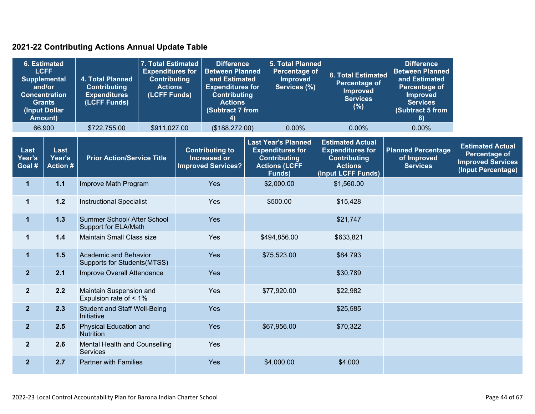### **2021-22 Contributing Actions Annual Update Table**

|                          | <b>6. Estimated</b><br><b>LCFF</b><br><b>Supplemental</b><br>4. Total Planned<br>and/or<br><b>Contributing</b><br><b>Concentration</b><br><b>Expenditures</b><br>(LCFF Funds)<br><b>Grants</b><br>(Input Dollar<br><b>Amount)</b> |                                                             | 7. Total Estimated<br><b>Expenditures for</b><br><b>Contributing</b><br><b>Actions</b><br>(LCFF Funds) | <b>Difference</b><br><b>Between Planned</b><br>and Estimated<br><b>Expenditures for</b><br><b>Contributing</b><br><b>Actions</b><br>(Subtract 7 from<br>4) |                                                                     |                                                                                                                        | <b>5. Total Planned</b><br>Percentage of<br><b>Improved</b><br>Services (%) |                                                                                                                   | 8. Total Estimated<br><b>Percentage of</b><br><b>Improved</b><br><b>Services</b><br>(%) | <b>Difference</b><br><b>Between Planned</b><br>and Estimated<br><b>Percentage of</b><br><b>Improved</b><br><b>Services</b><br>(Subtract 5 from<br>8) |                                                                                                   |
|--------------------------|-----------------------------------------------------------------------------------------------------------------------------------------------------------------------------------------------------------------------------------|-------------------------------------------------------------|--------------------------------------------------------------------------------------------------------|------------------------------------------------------------------------------------------------------------------------------------------------------------|---------------------------------------------------------------------|------------------------------------------------------------------------------------------------------------------------|-----------------------------------------------------------------------------|-------------------------------------------------------------------------------------------------------------------|-----------------------------------------------------------------------------------------|------------------------------------------------------------------------------------------------------------------------------------------------------|---------------------------------------------------------------------------------------------------|
|                          | 66,900                                                                                                                                                                                                                            | \$722,755.00                                                | \$911,027.00                                                                                           |                                                                                                                                                            | (\$188,272.00)                                                      |                                                                                                                        | 0.00%                                                                       |                                                                                                                   | 0.00%                                                                                   | 0.00%                                                                                                                                                |                                                                                                   |
| Last<br>Year's<br>Goal # | Last<br>Year's<br><b>Action #</b>                                                                                                                                                                                                 | <b>Prior Action/Service Title</b>                           |                                                                                                        |                                                                                                                                                            | <b>Contributing to</b><br>Increased or<br><b>Improved Services?</b> | <b>Last Year's Planned</b><br><b>Expenditures for</b><br><b>Contributing</b><br><b>Actions (LCFF</b><br><b>Funds</b> ) |                                                                             | <b>Estimated Actual</b><br><b>Expenditures for</b><br><b>Contributing</b><br><b>Actions</b><br>(Input LCFF Funds) |                                                                                         | <b>Planned Percentage</b><br>of Improved<br><b>Services</b>                                                                                          | <b>Estimated Actual</b><br><b>Percentage of</b><br><b>Improved Services</b><br>(Input Percentage) |
| $\mathbf 1$              | $1.1$                                                                                                                                                                                                                             | Improve Math Program                                        |                                                                                                        |                                                                                                                                                            | Yes                                                                 |                                                                                                                        | \$2,000.00                                                                  |                                                                                                                   | \$1,560.00                                                                              |                                                                                                                                                      |                                                                                                   |
| $\mathbf{1}$             | $1.2$                                                                                                                                                                                                                             | <b>Instructional Specialist</b>                             |                                                                                                        | Yes                                                                                                                                                        |                                                                     |                                                                                                                        | \$500.00                                                                    |                                                                                                                   | \$15,428                                                                                |                                                                                                                                                      |                                                                                                   |
| $\mathbf{1}$             | $1.3$                                                                                                                                                                                                                             | Summer School/ After School<br>Support for ELA/Math         |                                                                                                        |                                                                                                                                                            | Yes                                                                 |                                                                                                                        |                                                                             |                                                                                                                   | \$21,747                                                                                |                                                                                                                                                      |                                                                                                   |
| $\mathbf{1}$             | 1.4                                                                                                                                                                                                                               | Maintain Small Class size                                   |                                                                                                        | Yes                                                                                                                                                        |                                                                     | \$494,856.00                                                                                                           |                                                                             |                                                                                                                   | \$633,821                                                                               |                                                                                                                                                      |                                                                                                   |
| $\mathbf{1}$             | 1.5                                                                                                                                                                                                                               | Academic and Behavior<br><b>Supports for Students(MTSS)</b> |                                                                                                        |                                                                                                                                                            | Yes                                                                 | \$75,523.00                                                                                                            |                                                                             |                                                                                                                   | \$84,793                                                                                |                                                                                                                                                      |                                                                                                   |
| $\overline{2}$           | 2.1                                                                                                                                                                                                                               | Improve Overall Attendance                                  |                                                                                                        |                                                                                                                                                            | Yes                                                                 |                                                                                                                        |                                                                             |                                                                                                                   | \$30,789                                                                                |                                                                                                                                                      |                                                                                                   |
| $\overline{2}$           | 2.2                                                                                                                                                                                                                               | Maintain Suspension and<br>Expulsion rate of < 1%           |                                                                                                        |                                                                                                                                                            | Yes                                                                 |                                                                                                                        | \$77,920.00                                                                 |                                                                                                                   | \$22,982                                                                                |                                                                                                                                                      |                                                                                                   |
| $\overline{2}$           | 2.3                                                                                                                                                                                                                               | Initiative                                                  | <b>Student and Staff Well-Being</b>                                                                    |                                                                                                                                                            | Yes                                                                 |                                                                                                                        |                                                                             |                                                                                                                   | \$25,585                                                                                |                                                                                                                                                      |                                                                                                   |
| $\overline{2}$           | 2.5                                                                                                                                                                                                                               | <b>Nutrition</b>                                            | <b>Physical Education and</b>                                                                          |                                                                                                                                                            | Yes                                                                 | \$67,956.00                                                                                                            |                                                                             |                                                                                                                   | \$70,322                                                                                |                                                                                                                                                      |                                                                                                   |
| $\mathbf{2}$             | 2.6                                                                                                                                                                                                                               | Mental Health and Counselling<br><b>Services</b>            |                                                                                                        |                                                                                                                                                            | Yes                                                                 |                                                                                                                        |                                                                             |                                                                                                                   |                                                                                         |                                                                                                                                                      |                                                                                                   |
| $\mathbf{2}$             | 2.7                                                                                                                                                                                                                               | <b>Partner with Families</b>                                |                                                                                                        |                                                                                                                                                            | Yes                                                                 |                                                                                                                        | \$4,000.00                                                                  |                                                                                                                   | \$4,000                                                                                 |                                                                                                                                                      |                                                                                                   |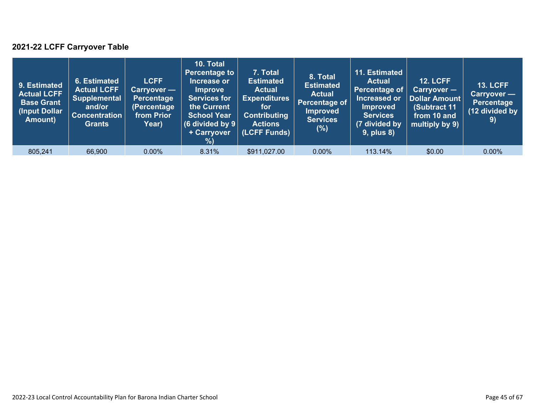### **2021-22 LCFF Carryover Table**

| 9. Estimated<br><b>Actual LCFF</b><br><b>Base Grant</b><br>(Input Dollar)<br>Amount) | 6. Estimated<br><b>Actual LCFF</b><br><b>Supplemental</b><br>and/or<br><b>Concentration</b><br><b>Grants</b> | <b>LCFF</b><br>Carryover —<br>Percentage<br>(Percentage<br>from Prior<br>Year) | 10. Total<br><b>Percentage to</b><br>Increase or<br><b>Improve</b><br><b>Services for</b><br>the Current<br><b>School Year</b><br>(6 divided by $9$ $ $<br>+ Carryover<br>% | 7. Total<br><b>Estimated</b><br><b>Actual</b><br><b>Expenditures</b><br>for<br><b>Contributing</b><br><b>Actions</b><br>(LCFF Funds) | 8. Total<br><b>Estimated</b><br><b>Actual</b><br>Percentage of<br><b>Improved</b><br><b>Services</b><br>(%) | 11. Estimated<br><b>Actual</b><br>Percentage of<br>Increased or<br><b>Improved</b><br><b>Services</b><br>(7 divided by<br>$9$ , plus $8$ ) | <b>12. LCFF</b><br>Carryover -<br>Dollar Amount<br>(Subtract 11<br>from 10 and<br>multiply by 9) | <b>13. LCFF</b><br><b>Carryover -</b><br>Percentage<br>(12 divided by<br>9) |
|--------------------------------------------------------------------------------------|--------------------------------------------------------------------------------------------------------------|--------------------------------------------------------------------------------|-----------------------------------------------------------------------------------------------------------------------------------------------------------------------------|--------------------------------------------------------------------------------------------------------------------------------------|-------------------------------------------------------------------------------------------------------------|--------------------------------------------------------------------------------------------------------------------------------------------|--------------------------------------------------------------------------------------------------|-----------------------------------------------------------------------------|
| 805,241                                                                              | 66,900                                                                                                       | $0.00\%$                                                                       | 8.31%                                                                                                                                                                       | \$911,027.00                                                                                                                         | $0.00\%$                                                                                                    | 113.14%                                                                                                                                    | \$0.00                                                                                           | $0.00\%$                                                                    |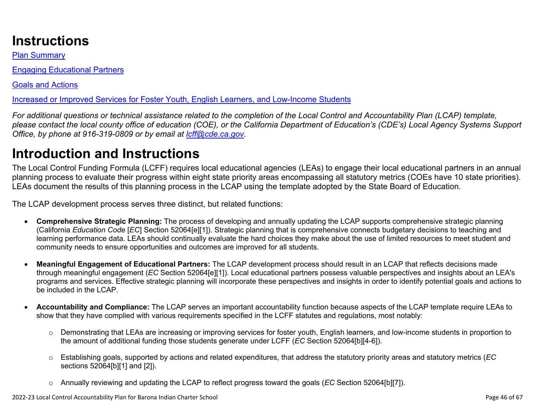# **Instructions**

Plan Summary

Engaging Educational Partners

Goals and Actions

Increased or Improved Services for Foster Youth, English Learners, and Low-Income Students

*For additional questions or technical assistance related to the completion of the Local Control and Accountability Plan (LCAP) template, please contact the local county office of education (COE), or the California Department of Education's (CDE's) Local Agency Systems Support Office, by phone at 916-319-0809 or by email at [lcff@cde.ca.gov](mailto:lcff@cde.ca.gov).*

# **Introduction and Instructions**

The Local Control Funding Formula (LCFF) requires local educational agencies (LEAs) to engage their local educational partners in an annual planning process to evaluate their progress within eight state priority areas encompassing all statutory metrics (COEs have 10 state priorities). LEAs document the results of this planning process in the LCAP using the template adopted by the State Board of Education.

The LCAP development process serves three distinct, but related functions:

- **Comprehensive Strategic Planning:** The process of developing and annually updating the LCAP supports comprehensive strategic planning (California *Education Code* [*EC*] Section 52064[e][1]). Strategic planning that is comprehensive connects budgetary decisions to teaching and learning performance data. LEAs should continually evaluate the hard choices they make about the use of limited resources to meet student and community needs to ensure opportunities and outcomes are improved for all students.
- **Meaningful Engagement of Educational Partners:** The LCAP development process should result in an LCAP that reflects decisions made through meaningful engagement (*EC* Section 52064[e][1]). Local educational partners possess valuable perspectives and insights about an LEA's programs and services. Effective strategic planning will incorporate these perspectives and insights in order to identify potential goals and actions to be included in the LCAP.
- **Accountability and Compliance:** The LCAP serves an important accountability function because aspects of the LCAP template require LEAs to show that they have complied with various requirements specified in the LCFF statutes and regulations, most notably:
	- o Demonstrating that LEAs are increasing or improving services for foster youth, English learners, and low-income students in proportion to the amount of additional funding those students generate under LCFF (*EC* Section 52064[b][4-6]).
	- o Establishing goals, supported by actions and related expenditures, that address the statutory priority areas and statutory metrics (*EC* sections 52064[b][1] and [2]).
	- o Annually reviewing and updating the LCAP to reflect progress toward the goals (*EC* Section 52064[b][7]).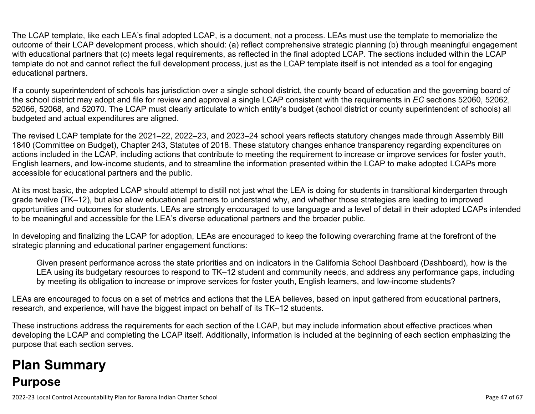The LCAP template, like each LEA's final adopted LCAP, is a document, not a process. LEAs must use the template to memorialize the outcome of their LCAP development process, which should: (a) reflect comprehensive strategic planning (b) through meaningful engagement with educational partners that (c) meets legal requirements, as reflected in the final adopted LCAP. The sections included within the LCAP template do not and cannot reflect the full development process, just as the LCAP template itself is not intended as a tool for engaging educational partners.

If a county superintendent of schools has jurisdiction over a single school district, the county board of education and the governing board of the school district may adopt and file for review and approval a single LCAP consistent with the requirements in *EC* sections 52060, 52062, 52066, 52068, and 52070. The LCAP must clearly articulate to which entity's budget (school district or county superintendent of schools) all budgeted and actual expenditures are aligned.

The revised LCAP template for the 2021–22, 2022–23, and 2023–24 school years reflects statutory changes made through Assembly Bill 1840 (Committee on Budget), Chapter 243, Statutes of 2018. These statutory changes enhance transparency regarding expenditures on actions included in the LCAP, including actions that contribute to meeting the requirement to increase or improve services for foster youth, English learners, and low-income students, and to streamline the information presented within the LCAP to make adopted LCAPs more accessible for educational partners and the public.

At its most basic, the adopted LCAP should attempt to distill not just what the LEA is doing for students in transitional kindergarten through grade twelve (TK–12), but also allow educational partners to understand why, and whether those strategies are leading to improved opportunities and outcomes for students. LEAs are strongly encouraged to use language and a level of detail in their adopted LCAPs intended to be meaningful and accessible for the LEA's diverse educational partners and the broader public.

In developing and finalizing the LCAP for adoption, LEAs are encouraged to keep the following overarching frame at the forefront of the strategic planning and educational partner engagement functions:

Given present performance across the state priorities and on indicators in the California School Dashboard (Dashboard), how is the LEA using its budgetary resources to respond to TK–12 student and community needs, and address any performance gaps, including by meeting its obligation to increase or improve services for foster youth, English learners, and low-income students?

LEAs are encouraged to focus on a set of metrics and actions that the LEA believes, based on input gathered from educational partners, research, and experience, will have the biggest impact on behalf of its TK–12 students.

These instructions address the requirements for each section of the LCAP, but may include information about effective practices when developing the LCAP and completing the LCAP itself. Additionally, information is included at the beginning of each section emphasizing the purpose that each section serves.

# **Plan Summary Purpose**

2022-23 Local Control Accountability Plan for Barona Indian Charter School Page 47 of 67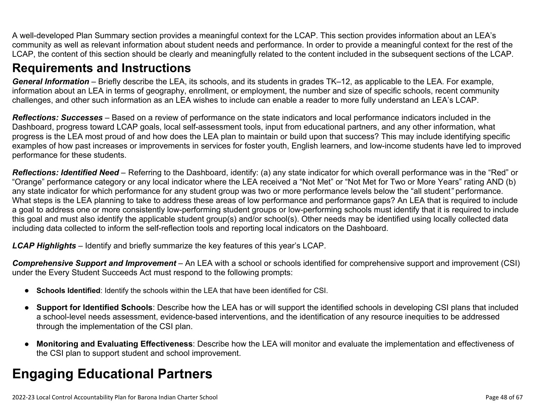A well-developed Plan Summary section provides a meaningful context for the LCAP. This section provides information about an LEA's community as well as relevant information about student needs and performance. In order to provide a meaningful context for the rest of the LCAP, the content of this section should be clearly and meaningfully related to the content included in the subsequent sections of the LCAP.

## **Requirements and Instructions**

*General Information* – Briefly describe the LEA, its schools, and its students in grades TK–12, as applicable to the LEA. For example, information about an LEA in terms of geography, enrollment, or employment, the number and size of specific schools, recent community challenges, and other such information as an LEA wishes to include can enable a reader to more fully understand an LEA's LCAP.

*Reflections: Successes* – Based on a review of performance on the state indicators and local performance indicators included in the Dashboard, progress toward LCAP goals, local self-assessment tools, input from educational partners, and any other information, what progress is the LEA most proud of and how does the LEA plan to maintain or build upon that success? This may include identifying specific examples of how past increases or improvements in services for foster youth, English learners, and low-income students have led to improved performance for these students.

*Reflections: Identified Need* – Referring to the Dashboard, identify: (a) any state indicator for which overall performance was in the "Red" or "Orange" performance category or any local indicator where the LEA received a "Not Met" or "Not Met for Two or More Years" rating AND (b) any state indicator for which performance for any student group was two or more performance levels below the "all student*"* performance. What steps is the LEA planning to take to address these areas of low performance and performance gaps? An LEA that is required to include a goal to address one or more consistently low-performing student groups or low-performing schools must identify that it is required to include this goal and must also identify the applicable student group(s) and/or school(s). Other needs may be identified using locally collected data including data collected to inform the self-reflection tools and reporting local indicators on the Dashboard.

*LCAP Highlights* – Identify and briefly summarize the key features of this year's LCAP.

*Comprehensive Support and Improvement* – An LEA with a school or schools identified for comprehensive support and improvement (CSI) under the Every Student Succeeds Act must respond to the following prompts:

- **Schools Identified**: Identify the schools within the LEA that have been identified for CSI.
- **Support for Identified Schools**: Describe how the LEA has or will support the identified schools in developing CSI plans that included a school-level needs assessment, evidence-based interventions, and the identification of any resource inequities to be addressed through the implementation of the CSI plan.
- **Monitoring and Evaluating Effectiveness**: Describe how the LEA will monitor and evaluate the implementation and effectiveness of the CSI plan to support student and school improvement.

# **Engaging Educational Partners**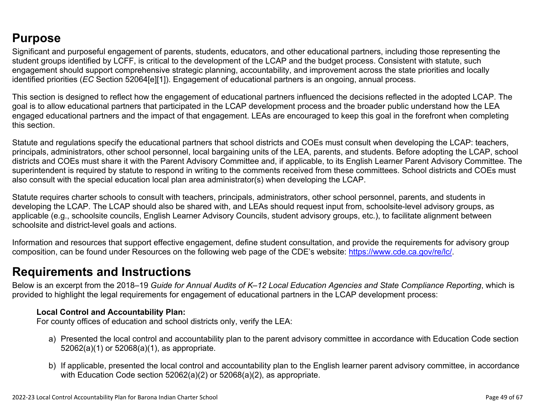## **Purpose**

Significant and purposeful engagement of parents, students, educators, and other educational partners, including those representing the student groups identified by LCFF, is critical to the development of the LCAP and the budget process. Consistent with statute, such engagement should support comprehensive strategic planning, accountability, and improvement across the state priorities and locally identified priorities (*EC* Section 52064[e][1]). Engagement of educational partners is an ongoing, annual process.

This section is designed to reflect how the engagement of educational partners influenced the decisions reflected in the adopted LCAP. The goal is to allow educational partners that participated in the LCAP development process and the broader public understand how the LEA engaged educational partners and the impact of that engagement. LEAs are encouraged to keep this goal in the forefront when completing this section.

Statute and regulations specify the educational partners that school districts and COEs must consult when developing the LCAP: teachers, principals, administrators, other school personnel, local bargaining units of the LEA, parents, and students. Before adopting the LCAP, school districts and COEs must share it with the Parent Advisory Committee and, if applicable, to its English Learner Parent Advisory Committee. The superintendent is required by statute to respond in writing to the comments received from these committees. School districts and COEs must also consult with the special education local plan area administrator(s) when developing the LCAP.

Statute requires charter schools to consult with teachers, principals, administrators, other school personnel, parents, and students in developing the LCAP. The LCAP should also be shared with, and LEAs should request input from, schoolsite-level advisory groups, as applicable (e.g., schoolsite councils, English Learner Advisory Councils, student advisory groups, etc.), to facilitate alignment between schoolsite and district-level goals and actions.

Information and resources that support effective engagement, define student consultation, and provide the requirements for advisory group composition, can be found under Resources on the following web page of the CDE's website: <https://www.cde.ca.gov/re/lc/>.

### **Requirements and Instructions**

Below is an excerpt from the 2018–19 *Guide for Annual Audits of K–12 Local Education Agencies and State Compliance Reporting*, which is provided to highlight the legal requirements for engagement of educational partners in the LCAP development process:

### **Local Control and Accountability Plan:**

For county offices of education and school districts only, verify the LEA:

- a) Presented the local control and accountability plan to the parent advisory committee in accordance with Education Code section 52062(a)(1) or 52068(a)(1), as appropriate.
- b) If applicable, presented the local control and accountability plan to the English learner parent advisory committee, in accordance with Education Code section 52062(a)(2) or 52068(a)(2), as appropriate.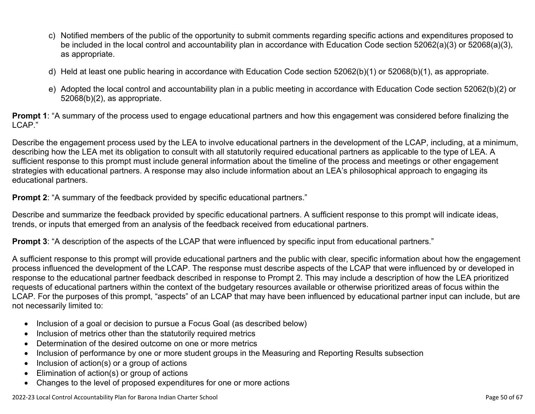- c) Notified members of the public of the opportunity to submit comments regarding specific actions and expenditures proposed to be included in the local control and accountability plan in accordance with Education Code section 52062(a)(3) or 52068(a)(3), as appropriate.
- d) Held at least one public hearing in accordance with Education Code section 52062(b)(1) or 52068(b)(1), as appropriate.
- e) Adopted the local control and accountability plan in a public meeting in accordance with Education Code section 52062(b)(2) or 52068(b)(2), as appropriate.

**Prompt 1**: "A summary of the process used to engage educational partners and how this engagement was considered before finalizing the LCAP."

Describe the engagement process used by the LEA to involve educational partners in the development of the LCAP, including, at a minimum, describing how the LEA met its obligation to consult with all statutorily required educational partners as applicable to the type of LEA. A sufficient response to this prompt must include general information about the timeline of the process and meetings or other engagement strategies with educational partners. A response may also include information about an LEA's philosophical approach to engaging its educational partners.

**Prompt 2:** "A summary of the feedback provided by specific educational partners."

Describe and summarize the feedback provided by specific educational partners. A sufficient response to this prompt will indicate ideas, trends, or inputs that emerged from an analysis of the feedback received from educational partners.

**Prompt 3**: "A description of the aspects of the LCAP that were influenced by specific input from educational partners."

A sufficient response to this prompt will provide educational partners and the public with clear, specific information about how the engagement process influenced the development of the LCAP. The response must describe aspects of the LCAP that were influenced by or developed in response to the educational partner feedback described in response to Prompt 2. This may include a description of how the LEA prioritized requests of educational partners within the context of the budgetary resources available or otherwise prioritized areas of focus within the LCAP. For the purposes of this prompt, "aspects" of an LCAP that may have been influenced by educational partner input can include, but are not necessarily limited to:

- Inclusion of a goal or decision to pursue a Focus Goal (as described below)
- Inclusion of metrics other than the statutorily required metrics
- Determination of the desired outcome on one or more metrics
- Inclusion of performance by one or more student groups in the Measuring and Reporting Results subsection
- Inclusion of action(s) or a group of actions
- Elimination of action(s) or group of actions
- Changes to the level of proposed expenditures for one or more actions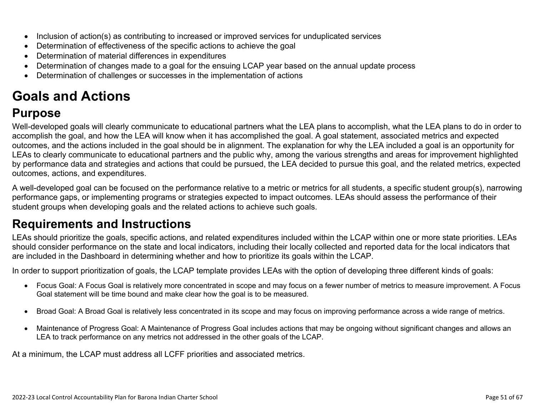- Inclusion of action(s) as contributing to increased or improved services for unduplicated services
- Determination of effectiveness of the specific actions to achieve the goal
- Determination of material differences in expenditures
- Determination of changes made to a goal for the ensuing LCAP year based on the annual update process
- Determination of challenges or successes in the implementation of actions

# **Goals and Actions**

## **Purpose**

Well-developed goals will clearly communicate to educational partners what the LEA plans to accomplish, what the LEA plans to do in order to accomplish the goal, and how the LEA will know when it has accomplished the goal. A goal statement, associated metrics and expected outcomes, and the actions included in the goal should be in alignment. The explanation for why the LEA included a goal is an opportunity for LEAs to clearly communicate to educational partners and the public why, among the various strengths and areas for improvement highlighted by performance data and strategies and actions that could be pursued, the LEA decided to pursue this goal, and the related metrics, expected outcomes, actions, and expenditures.

A well-developed goal can be focused on the performance relative to a metric or metrics for all students, a specific student group(s), narrowing performance gaps, or implementing programs or strategies expected to impact outcomes. LEAs should assess the performance of their student groups when developing goals and the related actions to achieve such goals.

## **Requirements and Instructions**

LEAs should prioritize the goals, specific actions, and related expenditures included within the LCAP within one or more state priorities. LEAs should consider performance on the state and local indicators, including their locally collected and reported data for the local indicators that are included in the Dashboard in determining whether and how to prioritize its goals within the LCAP.

In order to support prioritization of goals, the LCAP template provides LEAs with the option of developing three different kinds of goals:

- Focus Goal: A Focus Goal is relatively more concentrated in scope and may focus on a fewer number of metrics to measure improvement. A Focus Goal statement will be time bound and make clear how the goal is to be measured.
- Broad Goal: A Broad Goal is relatively less concentrated in its scope and may focus on improving performance across a wide range of metrics.
- Maintenance of Progress Goal: A Maintenance of Progress Goal includes actions that may be ongoing without significant changes and allows an LEA to track performance on any metrics not addressed in the other goals of the LCAP.

At a minimum, the LCAP must address all LCFF priorities and associated metrics.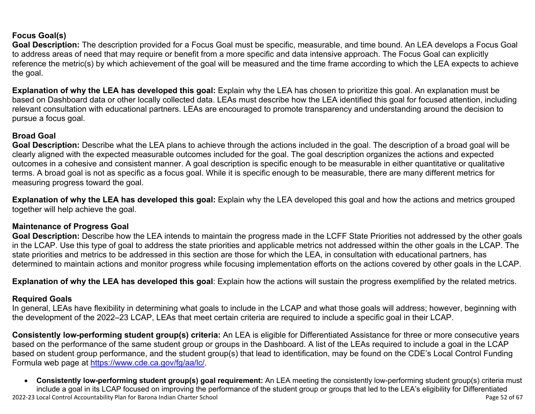### **Focus Goal(s)**

**Goal Description:** The description provided for a Focus Goal must be specific, measurable, and time bound. An LEA develops a Focus Goal to address areas of need that may require or benefit from a more specific and data intensive approach. The Focus Goal can explicitly reference the metric(s) by which achievement of the goal will be measured and the time frame according to which the LEA expects to achieve the goal.

**Explanation of why the LEA has developed this goal:** Explain why the LEA has chosen to prioritize this goal. An explanation must be based on Dashboard data or other locally collected data. LEAs must describe how the LEA identified this goal for focused attention, including relevant consultation with educational partners. LEAs are encouraged to promote transparency and understanding around the decision to pursue a focus goal.

#### **Broad Goal**

Goal Description: Describe what the LEA plans to achieve through the actions included in the goal. The description of a broad goal will be clearly aligned with the expected measurable outcomes included for the goal. The goal description organizes the actions and expected outcomes in a cohesive and consistent manner. A goal description is specific enough to be measurable in either quantitative or qualitative terms. A broad goal is not as specific as a focus goal. While it is specific enough to be measurable, there are many different metrics for measuring progress toward the goal.

**Explanation of why the LEA has developed this goal:** Explain why the LEA developed this goal and how the actions and metrics grouped together will help achieve the goal.

### **Maintenance of Progress Goal**

**Goal Description:** Describe how the LEA intends to maintain the progress made in the LCFF State Priorities not addressed by the other goals in the LCAP. Use this type of goal to address the state priorities and applicable metrics not addressed within the other goals in the LCAP. The state priorities and metrics to be addressed in this section are those for which the LEA, in consultation with educational partners, has determined to maintain actions and monitor progress while focusing implementation efforts on the actions covered by other goals in the LCAP.

**Explanation of why the LEA has developed this goal**: Explain how the actions will sustain the progress exemplified by the related metrics.

#### **Required Goals**

In general, LEAs have flexibility in determining what goals to include in the LCAP and what those goals will address; however, beginning with the development of the 2022–23 LCAP, LEAs that meet certain criteria are required to include a specific goal in their LCAP.

**Consistently low-performing student group(s) criteria:** An LEA is eligible for Differentiated Assistance for three or more consecutive years based on the performance of the same student group or groups in the Dashboard. A list of the LEAs required to include a goal in the LCAP based on student group performance, and the student group(s) that lead to identification, may be found on the CDE's Local Control Funding Formula web page at [https://www.cde.ca.gov/fg/aa/lc/.](https://www.cde.ca.gov/fg/aa/lc/)

2022-23 Local Control Accountability Plan for Barona Indian Charter School Page 52 of 67 • **Consistently low-performing student group(s) goal requirement:** An LEA meeting the consistently low-performing student group(s) criteria must include a goal in its LCAP focused on improving the performance of the student group or groups that led to the LEA's eligibility for Differentiated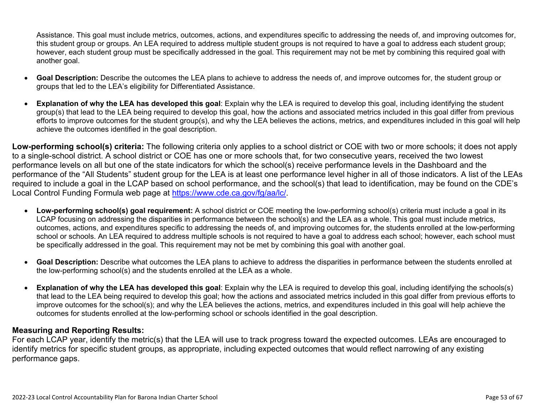Assistance. This goal must include metrics, outcomes, actions, and expenditures specific to addressing the needs of, and improving outcomes for, this student group or groups. An LEA required to address multiple student groups is not required to have a goal to address each student group; however, each student group must be specifically addressed in the goal. This requirement may not be met by combining this required goal with another goal.

- **Goal Description:** Describe the outcomes the LEA plans to achieve to address the needs of, and improve outcomes for, the student group or groups that led to the LEA's eligibility for Differentiated Assistance.
- **Explanation of why the LEA has developed this goal**: Explain why the LEA is required to develop this goal, including identifying the student group(s) that lead to the LEA being required to develop this goal, how the actions and associated metrics included in this goal differ from previous efforts to improve outcomes for the student group(s), and why the LEA believes the actions, metrics, and expenditures included in this goal will help achieve the outcomes identified in the goal description.

**Low-performing school(s) criteria:** The following criteria only applies to a school district or COE with two or more schools; it does not apply to a single-school district. A school district or COE has one or more schools that, for two consecutive years, received the two lowest performance levels on all but one of the state indicators for which the school(s) receive performance levels in the Dashboard and the performance of the "All Students" student group for the LEA is at least one performance level higher in all of those indicators. A list of the LEAs required to include a goal in the LCAP based on school performance, and the school(s) that lead to identification, may be found on the CDE's Local Control Funding Formula web page at [https://www.cde.ca.gov/fg/aa/lc/.](https://www.cde.ca.gov/fg/aa/lc/)

- **Low-performing school(s) goal requirement:** A school district or COE meeting the low-performing school(s) criteria must include a goal in its LCAP focusing on addressing the disparities in performance between the school(s) and the LEA as a whole. This goal must include metrics, outcomes, actions, and expenditures specific to addressing the needs of, and improving outcomes for, the students enrolled at the low-performing school or schools. An LEA required to address multiple schools is not required to have a goal to address each school; however, each school must be specifically addressed in the goal. This requirement may not be met by combining this goal with another goal.
- **Goal Description:** Describe what outcomes the LEA plans to achieve to address the disparities in performance between the students enrolled at the low-performing school(s) and the students enrolled at the LEA as a whole.
- **Explanation of why the LEA has developed this goal**: Explain why the LEA is required to develop this goal, including identifying the schools(s) that lead to the LEA being required to develop this goal; how the actions and associated metrics included in this goal differ from previous efforts to improve outcomes for the school(s); and why the LEA believes the actions, metrics, and expenditures included in this goal will help achieve the outcomes for students enrolled at the low-performing school or schools identified in the goal description.

### **Measuring and Reporting Results:**

For each LCAP year, identify the metric(s) that the LEA will use to track progress toward the expected outcomes. LEAs are encouraged to identify metrics for specific student groups, as appropriate, including expected outcomes that would reflect narrowing of any existing performance gaps.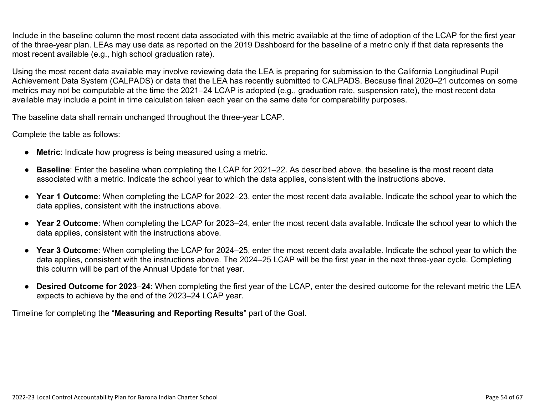Include in the baseline column the most recent data associated with this metric available at the time of adoption of the LCAP for the first year of the three-year plan. LEAs may use data as reported on the 2019 Dashboard for the baseline of a metric only if that data represents the most recent available (e.g., high school graduation rate).

Using the most recent data available may involve reviewing data the LEA is preparing for submission to the California Longitudinal Pupil Achievement Data System (CALPADS) or data that the LEA has recently submitted to CALPADS. Because final 2020–21 outcomes on some metrics may not be computable at the time the 2021–24 LCAP is adopted (e.g., graduation rate, suspension rate), the most recent data available may include a point in time calculation taken each year on the same date for comparability purposes.

The baseline data shall remain unchanged throughout the three-year LCAP.

Complete the table as follows:

- **Metric**: Indicate how progress is being measured using a metric.
- **Baseline**: Enter the baseline when completing the LCAP for 2021–22. As described above, the baseline is the most recent data associated with a metric. Indicate the school year to which the data applies, consistent with the instructions above.
- **Year 1 Outcome**: When completing the LCAP for 2022–23, enter the most recent data available. Indicate the school year to which the data applies, consistent with the instructions above.
- **Year 2 Outcome**: When completing the LCAP for 2023–24, enter the most recent data available. Indicate the school year to which the data applies, consistent with the instructions above.
- **Year 3 Outcome**: When completing the LCAP for 2024–25, enter the most recent data available. Indicate the school year to which the data applies, consistent with the instructions above. The 2024–25 LCAP will be the first year in the next three-year cycle. Completing this column will be part of the Annual Update for that year.
- **Desired Outcome for 2023**–**24**: When completing the first year of the LCAP, enter the desired outcome for the relevant metric the LEA expects to achieve by the end of the 2023–24 LCAP year.

Timeline for completing the "**Measuring and Reporting Results**" part of the Goal.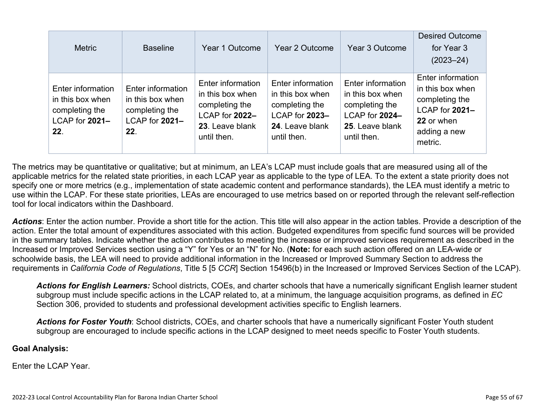| <b>Metric</b>                                                                    | <b>Baseline</b>                                                                  | Year 1 Outcome                                                                                              | Year 2 Outcome                                                                                              | Year 3 Outcome                                                                                              | <b>Desired Outcome</b><br>for Year 3<br>$(2023 - 24)$                                                              |
|----------------------------------------------------------------------------------|----------------------------------------------------------------------------------|-------------------------------------------------------------------------------------------------------------|-------------------------------------------------------------------------------------------------------------|-------------------------------------------------------------------------------------------------------------|--------------------------------------------------------------------------------------------------------------------|
| Enter information<br>in this box when<br>completing the<br>LCAP for 2021-<br>22. | Enter information<br>in this box when<br>completing the<br>LCAP for 2021-<br>22. | Enter information<br>in this box when<br>completing the<br>LCAP for 2022-<br>23. Leave blank<br>until then. | Enter information<br>in this box when<br>completing the<br>LCAP for 2023-<br>24. Leave blank<br>until then. | Enter information<br>in this box when<br>completing the<br>LCAP for 2024-<br>25. Leave blank<br>until then. | Enter information<br>in this box when<br>completing the<br>LCAP for 2021-<br>22 or when<br>adding a new<br>metric. |

The metrics may be quantitative or qualitative; but at minimum, an LEA's LCAP must include goals that are measured using all of the applicable metrics for the related state priorities, in each LCAP year as applicable to the type of LEA. To the extent a state priority does not specify one or more metrics (e.g., implementation of state academic content and performance standards), the LEA must identify a metric to use within the LCAP. For these state priorities, LEAs are encouraged to use metrics based on or reported through the relevant self-reflection tool for local indicators within the Dashboard.

*Actions*: Enter the action number. Provide a short title for the action. This title will also appear in the action tables. Provide a description of the action. Enter the total amount of expenditures associated with this action. Budgeted expenditures from specific fund sources will be provided in the summary tables. Indicate whether the action contributes to meeting the increase or improved services requirement as described in the Increased or Improved Services section using a "Y" for Yes or an "N" for No. (**Note:** for each such action offered on an LEA-wide or schoolwide basis, the LEA will need to provide additional information in the Increased or Improved Summary Section to address the requirements in *California Code of Regulations*, Title 5 [5 *CCR*] Section 15496(b) in the Increased or Improved Services Section of the LCAP).

*Actions for English Learners:* School districts, COEs, and charter schools that have a numerically significant English learner student subgroup must include specific actions in the LCAP related to, at a minimum, the language acquisition programs, as defined in *EC* Section 306, provided to students and professional development activities specific to English learners.

*Actions for Foster Youth*: School districts, COEs, and charter schools that have a numerically significant Foster Youth student subgroup are encouraged to include specific actions in the LCAP designed to meet needs specific to Foster Youth students.

#### **Goal Analysis:**

Enter the LCAP Year.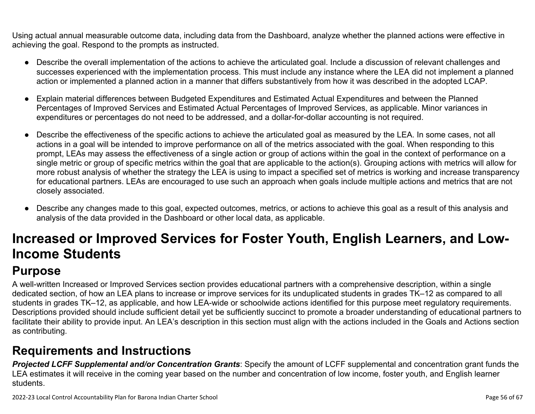Using actual annual measurable outcome data, including data from the Dashboard, analyze whether the planned actions were effective in achieving the goal. Respond to the prompts as instructed.

- Describe the overall implementation of the actions to achieve the articulated goal. Include a discussion of relevant challenges and successes experienced with the implementation process. This must include any instance where the LEA did not implement a planned action or implemented a planned action in a manner that differs substantively from how it was described in the adopted LCAP.
- Explain material differences between Budgeted Expenditures and Estimated Actual Expenditures and between the Planned Percentages of Improved Services and Estimated Actual Percentages of Improved Services, as applicable. Minor variances in expenditures or percentages do not need to be addressed, and a dollar-for-dollar accounting is not required.
- Describe the effectiveness of the specific actions to achieve the articulated goal as measured by the LEA. In some cases, not all actions in a goal will be intended to improve performance on all of the metrics associated with the goal. When responding to this prompt, LEAs may assess the effectiveness of a single action or group of actions within the goal in the context of performance on a single metric or group of specific metrics within the goal that are applicable to the action(s). Grouping actions with metrics will allow for more robust analysis of whether the strategy the LEA is using to impact a specified set of metrics is working and increase transparency for educational partners. LEAs are encouraged to use such an approach when goals include multiple actions and metrics that are not closely associated.
- Describe any changes made to this goal, expected outcomes, metrics, or actions to achieve this goal as a result of this analysis and analysis of the data provided in the Dashboard or other local data, as applicable.

# **Increased or Improved Services for Foster Youth, English Learners, and Low-Income Students**

# **Purpose**

A well-written Increased or Improved Services section provides educational partners with a comprehensive description, within a single dedicated section, of how an LEA plans to increase or improve services for its unduplicated students in grades TK–12 as compared to all students in grades TK–12, as applicable, and how LEA-wide or schoolwide actions identified for this purpose meet regulatory requirements. Descriptions provided should include sufficient detail yet be sufficiently succinct to promote a broader understanding of educational partners to facilitate their ability to provide input. An LEA's description in this section must align with the actions included in the Goals and Actions section as contributing.

## **Requirements and Instructions**

*Projected LCFF Supplemental and/or Concentration Grants*: Specify the amount of LCFF supplemental and concentration grant funds the LEA estimates it will receive in the coming year based on the number and concentration of low income, foster youth, and English learner students.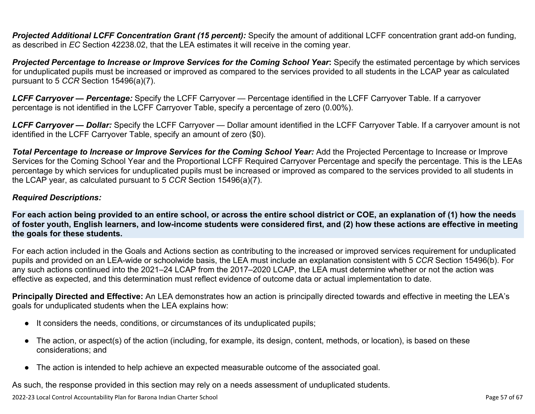**Projected Additional LCFF Concentration Grant (15 percent):** Specify the amount of additional LCFF concentration grant add-on funding, as described in *EC* Section 42238.02, that the LEA estimates it will receive in the coming year.

*Projected Percentage to Increase or Improve Services for the Coming School Year***:** Specify the estimated percentage by which services for unduplicated pupils must be increased or improved as compared to the services provided to all students in the LCAP year as calculated pursuant to 5 *CCR* Section 15496(a)(7).

*LCFF Carryover — Percentage:* Specify the LCFF Carryover — Percentage identified in the LCFF Carryover Table. If a carryover percentage is not identified in the LCFF Carryover Table, specify a percentage of zero (0.00%).

*LCFF Carryover — Dollar:* Specify the LCFF Carryover — Dollar amount identified in the LCFF Carryover Table. If a carryover amount is not identified in the LCFF Carryover Table, specify an amount of zero (\$0).

**Total Percentage to Increase or Improve Services for the Coming School Year:** Add the Projected Percentage to Increase or Improve Services for the Coming School Year and the Proportional LCFF Required Carryover Percentage and specify the percentage. This is the LEAs percentage by which services for unduplicated pupils must be increased or improved as compared to the services provided to all students in the LCAP year, as calculated pursuant to 5 *CCR* Section 15496(a)(7).

#### *Required Descriptions:*

**For each action being provided to an entire school, or across the entire school district or COE, an explanation of (1) how the needs of foster youth, English learners, and low-income students were considered first, and (2) how these actions are effective in meeting the goals for these students.**

For each action included in the Goals and Actions section as contributing to the increased or improved services requirement for unduplicated pupils and provided on an LEA-wide or schoolwide basis, the LEA must include an explanation consistent with 5 *CCR* Section 15496(b). For any such actions continued into the 2021–24 LCAP from the 2017–2020 LCAP, the LEA must determine whether or not the action was effective as expected, and this determination must reflect evidence of outcome data or actual implementation to date.

**Principally Directed and Effective:** An LEA demonstrates how an action is principally directed towards and effective in meeting the LEA's goals for unduplicated students when the LEA explains how:

- It considers the needs, conditions, or circumstances of its unduplicated pupils;
- The action, or aspect(s) of the action (including, for example, its design, content, methods, or location), is based on these considerations; and
- The action is intended to help achieve an expected measurable outcome of the associated goal.

As such, the response provided in this section may rely on a needs assessment of unduplicated students.

2022-23 Local Control Accountability Plan for Barona Indian Charter School Page 57 of 67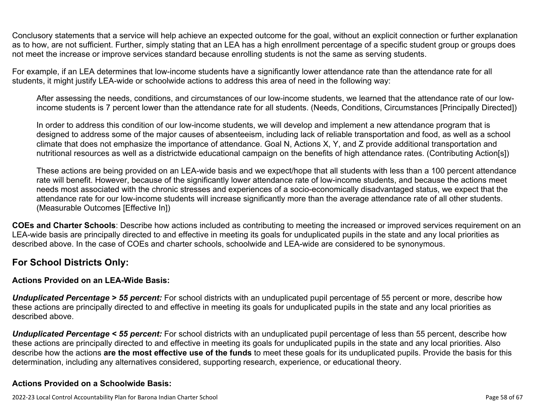Conclusory statements that a service will help achieve an expected outcome for the goal, without an explicit connection or further explanation as to how, are not sufficient. Further, simply stating that an LEA has a high enrollment percentage of a specific student group or groups does not meet the increase or improve services standard because enrolling students is not the same as serving students.

For example, if an LEA determines that low-income students have a significantly lower attendance rate than the attendance rate for all students, it might justify LEA-wide or schoolwide actions to address this area of need in the following way:

After assessing the needs, conditions, and circumstances of our low-income students, we learned that the attendance rate of our lowincome students is 7 percent lower than the attendance rate for all students. (Needs, Conditions, Circumstances [Principally Directed])

In order to address this condition of our low-income students, we will develop and implement a new attendance program that is designed to address some of the major causes of absenteeism, including lack of reliable transportation and food, as well as a school climate that does not emphasize the importance of attendance. Goal N, Actions X, Y, and Z provide additional transportation and nutritional resources as well as a districtwide educational campaign on the benefits of high attendance rates. (Contributing Action[s])

These actions are being provided on an LEA-wide basis and we expect/hope that all students with less than a 100 percent attendance rate will benefit. However, because of the significantly lower attendance rate of low-income students, and because the actions meet needs most associated with the chronic stresses and experiences of a socio-economically disadvantaged status, we expect that the attendance rate for our low-income students will increase significantly more than the average attendance rate of all other students. (Measurable Outcomes [Effective In])

**COEs and Charter Schools**: Describe how actions included as contributing to meeting the increased or improved services requirement on an LEA-wide basis are principally directed to and effective in meeting its goals for unduplicated pupils in the state and any local priorities as described above. In the case of COEs and charter schools, schoolwide and LEA-wide are considered to be synonymous.

### **For School Districts Only:**

### **Actions Provided on an LEA-Wide Basis:**

*Unduplicated Percentage > 55 percent:* For school districts with an unduplicated pupil percentage of 55 percent or more, describe how these actions are principally directed to and effective in meeting its goals for unduplicated pupils in the state and any local priorities as described above.

*Unduplicated Percentage < 55 percent:* For school districts with an unduplicated pupil percentage of less than 55 percent, describe how these actions are principally directed to and effective in meeting its goals for unduplicated pupils in the state and any local priorities. Also describe how the actions **are the most effective use of the funds** to meet these goals for its unduplicated pupils. Provide the basis for this determination, including any alternatives considered, supporting research, experience, or educational theory.

### **Actions Provided on a Schoolwide Basis:**

2022-23 Local Control Accountability Plan for Barona Indian Charter School Page 58 of 67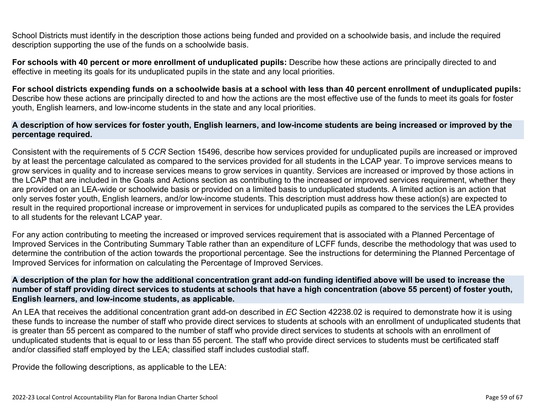School Districts must identify in the description those actions being funded and provided on a schoolwide basis, and include the required description supporting the use of the funds on a schoolwide basis.

**For schools with 40 percent or more enrollment of unduplicated pupils:** Describe how these actions are principally directed to and effective in meeting its goals for its unduplicated pupils in the state and any local priorities.

**For school districts expending funds on a schoolwide basis at a school with less than 40 percent enrollment of unduplicated pupils:** Describe how these actions are principally directed to and how the actions are the most effective use of the funds to meet its goals for foster youth, English learners, and low-income students in the state and any local priorities.

#### **A description of how services for foster youth, English learners, and low-income students are being increased or improved by the percentage required.**

Consistent with the requirements of 5 *CCR* Section 15496, describe how services provided for unduplicated pupils are increased or improved by at least the percentage calculated as compared to the services provided for all students in the LCAP year. To improve services means to grow services in quality and to increase services means to grow services in quantity. Services are increased or improved by those actions in the LCAP that are included in the Goals and Actions section as contributing to the increased or improved services requirement, whether they are provided on an LEA-wide or schoolwide basis or provided on a limited basis to unduplicated students. A limited action is an action that only serves foster youth, English learners, and/or low-income students. This description must address how these action(s) are expected to result in the required proportional increase or improvement in services for unduplicated pupils as compared to the services the LEA provides to all students for the relevant LCAP year.

For any action contributing to meeting the increased or improved services requirement that is associated with a Planned Percentage of Improved Services in the Contributing Summary Table rather than an expenditure of LCFF funds, describe the methodology that was used to determine the contribution of the action towards the proportional percentage. See the instructions for determining the Planned Percentage of Improved Services for information on calculating the Percentage of Improved Services.

#### **A description of the plan for how the additional concentration grant add-on funding identified above will be used to increase the number of staff providing direct services to students at schools that have a high concentration (above 55 percent) of foster youth, English learners, and low-income students, as applicable.**

An LEA that receives the additional concentration grant add-on described in *EC* Section 42238.02 is required to demonstrate how it is using these funds to increase the number of staff who provide direct services to students at schools with an enrollment of unduplicated students that is greater than 55 percent as compared to the number of staff who provide direct services to students at schools with an enrollment of unduplicated students that is equal to or less than 55 percent. The staff who provide direct services to students must be certificated staff and/or classified staff employed by the LEA; classified staff includes custodial staff.

Provide the following descriptions, as applicable to the LEA: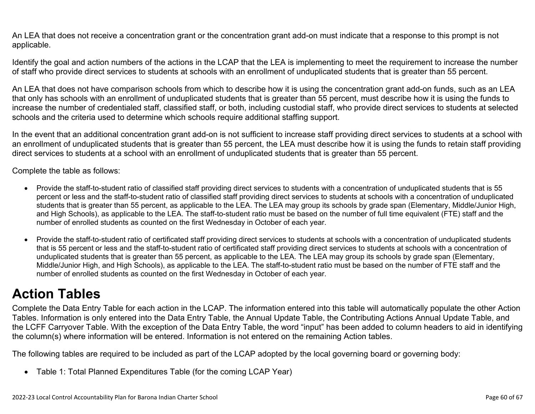An LEA that does not receive a concentration grant or the concentration grant add-on must indicate that a response to this prompt is not applicable.

Identify the goal and action numbers of the actions in the LCAP that the LEA is implementing to meet the requirement to increase the number of staff who provide direct services to students at schools with an enrollment of unduplicated students that is greater than 55 percent.

An LEA that does not have comparison schools from which to describe how it is using the concentration grant add-on funds, such as an LEA that only has schools with an enrollment of unduplicated students that is greater than 55 percent, must describe how it is using the funds to increase the number of credentialed staff, classified staff, or both, including custodial staff, who provide direct services to students at selected schools and the criteria used to determine which schools require additional staffing support.

In the event that an additional concentration grant add-on is not sufficient to increase staff providing direct services to students at a school with an enrollment of unduplicated students that is greater than 55 percent, the LEA must describe how it is using the funds to retain staff providing direct services to students at a school with an enrollment of unduplicated students that is greater than 55 percent.

Complete the table as follows:

- Provide the staff-to-student ratio of classified staff providing direct services to students with a concentration of unduplicated students that is 55 percent or less and the staff-to-student ratio of classified staff providing direct services to students at schools with a concentration of unduplicated students that is greater than 55 percent, as applicable to the LEA. The LEA may group its schools by grade span (Elementary, Middle/Junior High, and High Schools), as applicable to the LEA. The staff-to-student ratio must be based on the number of full time equivalent (FTE) staff and the number of enrolled students as counted on the first Wednesday in October of each year.
- Provide the staff-to-student ratio of certificated staff providing direct services to students at schools with a concentration of unduplicated students that is 55 percent or less and the staff-to-student ratio of certificated staff providing direct services to students at schools with a concentration of unduplicated students that is greater than 55 percent, as applicable to the LEA. The LEA may group its schools by grade span (Elementary, Middle/Junior High, and High Schools), as applicable to the LEA. The staff-to-student ratio must be based on the number of FTE staff and the number of enrolled students as counted on the first Wednesday in October of each year.

# **Action Tables**

Complete the Data Entry Table for each action in the LCAP. The information entered into this table will automatically populate the other Action Tables. Information is only entered into the Data Entry Table, the Annual Update Table, the Contributing Actions Annual Update Table, and the LCFF Carryover Table. With the exception of the Data Entry Table, the word "input" has been added to column headers to aid in identifying the column(s) where information will be entered. Information is not entered on the remaining Action tables.

The following tables are required to be included as part of the LCAP adopted by the local governing board or governing body:

• Table 1: Total Planned Expenditures Table (for the coming LCAP Year)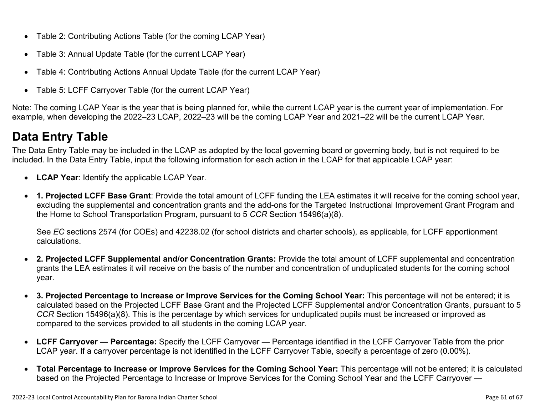- Table 2: Contributing Actions Table (for the coming LCAP Year)
- Table 3: Annual Update Table (for the current LCAP Year)
- Table 4: Contributing Actions Annual Update Table (for the current LCAP Year)
- Table 5: LCFF Carryover Table (for the current LCAP Year)

Note: The coming LCAP Year is the year that is being planned for, while the current LCAP year is the current year of implementation. For example, when developing the 2022–23 LCAP, 2022–23 will be the coming LCAP Year and 2021–22 will be the current LCAP Year.

# **Data Entry Table**

The Data Entry Table may be included in the LCAP as adopted by the local governing board or governing body, but is not required to be included. In the Data Entry Table, input the following information for each action in the LCAP for that applicable LCAP year:

- **LCAP Year**: Identify the applicable LCAP Year.
- **1. Projected LCFF Base Grant**: Provide the total amount of LCFF funding the LEA estimates it will receive for the coming school year, excluding the supplemental and concentration grants and the add-ons for the Targeted Instructional Improvement Grant Program and the Home to School Transportation Program, pursuant to 5 *CCR* Section 15496(a)(8).

See *EC* sections 2574 (for COEs) and 42238.02 (for school districts and charter schools), as applicable, for LCFF apportionment calculations.

- **2. Projected LCFF Supplemental and/or Concentration Grants:** Provide the total amount of LCFF supplemental and concentration grants the LEA estimates it will receive on the basis of the number and concentration of unduplicated students for the coming school year.
- **3. Projected Percentage to Increase or Improve Services for the Coming School Year:** This percentage will not be entered; it is calculated based on the Projected LCFF Base Grant and the Projected LCFF Supplemental and/or Concentration Grants, pursuant to 5 *CCR* Section 15496(a)(8). This is the percentage by which services for unduplicated pupils must be increased or improved as compared to the services provided to all students in the coming LCAP year.
- **LCFF Carryover Percentage:** Specify the LCFF Carryover Percentage identified in the LCFF Carryover Table from the prior LCAP year. If a carryover percentage is not identified in the LCFF Carryover Table, specify a percentage of zero (0.00%).
- **Total Percentage to Increase or Improve Services for the Coming School Year:** This percentage will not be entered; it is calculated based on the Projected Percentage to Increase or Improve Services for the Coming School Year and the LCFF Carryover —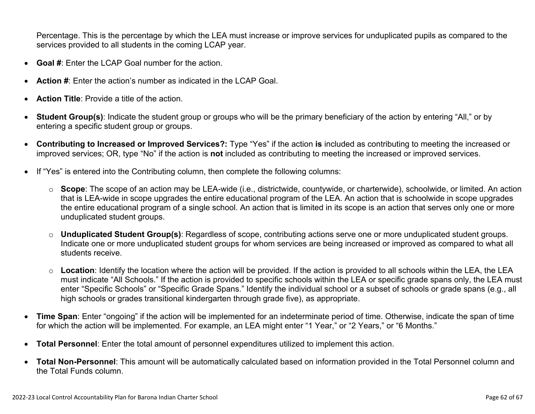Percentage. This is the percentage by which the LEA must increase or improve services for unduplicated pupils as compared to the services provided to all students in the coming LCAP year.

- **Goal #**: Enter the LCAP Goal number for the action.
- **Action #**: Enter the action's number as indicated in the LCAP Goal.
- **Action Title**: Provide a title of the action.
- **Student Group(s)**: Indicate the student group or groups who will be the primary beneficiary of the action by entering "All," or by entering a specific student group or groups.
- **Contributing to Increased or Improved Services?:** Type "Yes" if the action **is** included as contributing to meeting the increased or improved services; OR, type "No" if the action is **not** included as contributing to meeting the increased or improved services.
- If "Yes" is entered into the Contributing column, then complete the following columns:
	- o **Scope**: The scope of an action may be LEA-wide (i.e., districtwide, countywide, or charterwide), schoolwide, or limited. An action that is LEA-wide in scope upgrades the entire educational program of the LEA. An action that is schoolwide in scope upgrades the entire educational program of a single school. An action that is limited in its scope is an action that serves only one or more unduplicated student groups.
	- o **Unduplicated Student Group(s)**: Regardless of scope, contributing actions serve one or more unduplicated student groups. Indicate one or more unduplicated student groups for whom services are being increased or improved as compared to what all students receive.
	- o **Location**: Identify the location where the action will be provided. If the action is provided to all schools within the LEA, the LEA must indicate "All Schools." If the action is provided to specific schools within the LEA or specific grade spans only, the LEA must enter "Specific Schools" or "Specific Grade Spans." Identify the individual school or a subset of schools or grade spans (e.g., all high schools or grades transitional kindergarten through grade five), as appropriate.
- **Time Span**: Enter "ongoing" if the action will be implemented for an indeterminate period of time. Otherwise, indicate the span of time for which the action will be implemented. For example, an LEA might enter "1 Year," or "2 Years," or "6 Months."
- **Total Personnel**: Enter the total amount of personnel expenditures utilized to implement this action.
- **Total Non-Personnel**: This amount will be automatically calculated based on information provided in the Total Personnel column and the Total Funds column.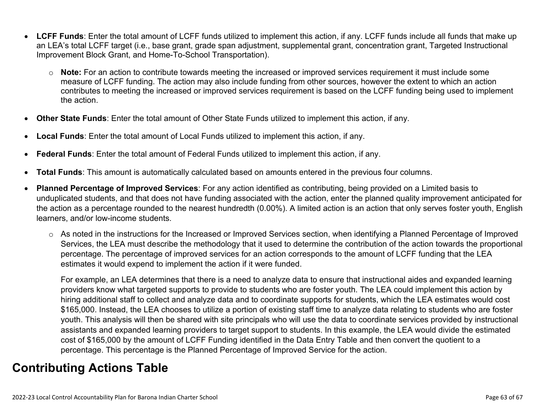- **LCFF Funds**: Enter the total amount of LCFF funds utilized to implement this action, if any. LCFF funds include all funds that make up an LEA's total LCFF target (i.e., base grant, grade span adjustment, supplemental grant, concentration grant, Targeted Instructional Improvement Block Grant, and Home-To-School Transportation).
	- o **Note:** For an action to contribute towards meeting the increased or improved services requirement it must include some measure of LCFF funding. The action may also include funding from other sources, however the extent to which an action contributes to meeting the increased or improved services requirement is based on the LCFF funding being used to implement the action.
- **Other State Funds**: Enter the total amount of Other State Funds utilized to implement this action, if any.
- **Local Funds**: Enter the total amount of Local Funds utilized to implement this action, if any.
- **Federal Funds**: Enter the total amount of Federal Funds utilized to implement this action, if any.
- **Total Funds**: This amount is automatically calculated based on amounts entered in the previous four columns.
- **Planned Percentage of Improved Services**: For any action identified as contributing, being provided on a Limited basis to unduplicated students, and that does not have funding associated with the action, enter the planned quality improvement anticipated for the action as a percentage rounded to the nearest hundredth (0.00%). A limited action is an action that only serves foster youth, English learners, and/or low-income students.
	- o As noted in the instructions for the Increased or Improved Services section, when identifying a Planned Percentage of Improved Services, the LEA must describe the methodology that it used to determine the contribution of the action towards the proportional percentage. The percentage of improved services for an action corresponds to the amount of LCFF funding that the LEA estimates it would expend to implement the action if it were funded.

For example, an LEA determines that there is a need to analyze data to ensure that instructional aides and expanded learning providers know what targeted supports to provide to students who are foster youth. The LEA could implement this action by hiring additional staff to collect and analyze data and to coordinate supports for students, which the LEA estimates would cost \$165,000. Instead, the LEA chooses to utilize a portion of existing staff time to analyze data relating to students who are foster youth. This analysis will then be shared with site principals who will use the data to coordinate services provided by instructional assistants and expanded learning providers to target support to students. In this example, the LEA would divide the estimated cost of \$165,000 by the amount of LCFF Funding identified in the Data Entry Table and then convert the quotient to a percentage. This percentage is the Planned Percentage of Improved Service for the action.

## **Contributing Actions Table**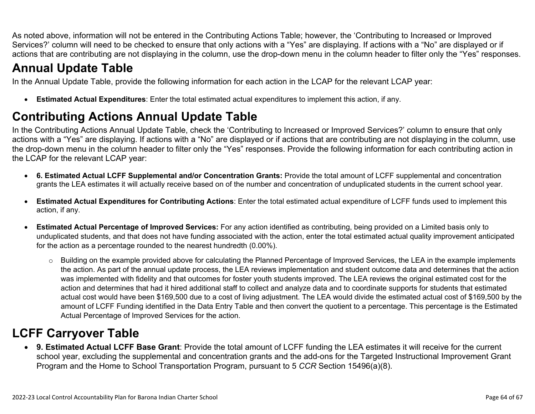As noted above, information will not be entered in the Contributing Actions Table; however, the 'Contributing to Increased or Improved Services?' column will need to be checked to ensure that only actions with a "Yes" are displaying. If actions with a "No" are displayed or if actions that are contributing are not displaying in the column, use the drop-down menu in the column header to filter only the "Yes" responses.

# **Annual Update Table**

In the Annual Update Table, provide the following information for each action in the LCAP for the relevant LCAP year:

• **Estimated Actual Expenditures**: Enter the total estimated actual expenditures to implement this action, if any.

# **Contributing Actions Annual Update Table**

In the Contributing Actions Annual Update Table, check the 'Contributing to Increased or Improved Services?' column to ensure that only actions with a "Yes" are displaying. If actions with a "No" are displayed or if actions that are contributing are not displaying in the column, use the drop-down menu in the column header to filter only the "Yes" responses. Provide the following information for each contributing action in the LCAP for the relevant LCAP year:

- **6. Estimated Actual LCFF Supplemental and/or Concentration Grants:** Provide the total amount of LCFF supplemental and concentration grants the LEA estimates it will actually receive based on of the number and concentration of unduplicated students in the current school year.
- **Estimated Actual Expenditures for Contributing Actions**: Enter the total estimated actual expenditure of LCFF funds used to implement this action, if any.
- **Estimated Actual Percentage of Improved Services:** For any action identified as contributing, being provided on a Limited basis only to unduplicated students, and that does not have funding associated with the action, enter the total estimated actual quality improvement anticipated for the action as a percentage rounded to the nearest hundredth (0.00%).
	- o Building on the example provided above for calculating the Planned Percentage of Improved Services, the LEA in the example implements the action. As part of the annual update process, the LEA reviews implementation and student outcome data and determines that the action was implemented with fidelity and that outcomes for foster youth students improved. The LEA reviews the original estimated cost for the action and determines that had it hired additional staff to collect and analyze data and to coordinate supports for students that estimated actual cost would have been \$169,500 due to a cost of living adjustment. The LEA would divide the estimated actual cost of \$169,500 by the amount of LCFF Funding identified in the Data Entry Table and then convert the quotient to a percentage. This percentage is the Estimated Actual Percentage of Improved Services for the action.

# **LCFF Carryover Table**

• **9. Estimated Actual LCFF Base Grant**: Provide the total amount of LCFF funding the LEA estimates it will receive for the current school year, excluding the supplemental and concentration grants and the add-ons for the Targeted Instructional Improvement Grant Program and the Home to School Transportation Program, pursuant to 5 *CCR* Section 15496(a)(8).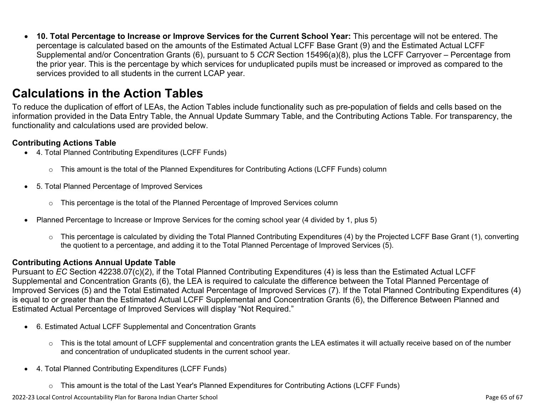• **10. Total Percentage to Increase or Improve Services for the Current School Year:** This percentage will not be entered. The percentage is calculated based on the amounts of the Estimated Actual LCFF Base Grant (9) and the Estimated Actual LCFF Supplemental and/or Concentration Grants (6), pursuant to 5 *CCR* Section 15496(a)(8), plus the LCFF Carryover – Percentage from the prior year. This is the percentage by which services for unduplicated pupils must be increased or improved as compared to the services provided to all students in the current LCAP year.

## **Calculations in the Action Tables**

To reduce the duplication of effort of LEAs, the Action Tables include functionality such as pre-population of fields and cells based on the information provided in the Data Entry Table, the Annual Update Summary Table, and the Contributing Actions Table. For transparency, the functionality and calculations used are provided below.

#### **Contributing Actions Table**

- 4. Total Planned Contributing Expenditures (LCFF Funds)
	- $\circ$  This amount is the total of the Planned Expenditures for Contributing Actions (LCFF Funds) column
- 5. Total Planned Percentage of Improved Services
	- $\circ$  This percentage is the total of the Planned Percentage of Improved Services column
- Planned Percentage to Increase or Improve Services for the coming school year (4 divided by 1, plus 5)
	- o This percentage is calculated by dividing the Total Planned Contributing Expenditures (4) by the Projected LCFF Base Grant (1), converting the quotient to a percentage, and adding it to the Total Planned Percentage of Improved Services (5).

### **Contributing Actions Annual Update Table**

Pursuant to *EC* Section 42238.07(c)(2), if the Total Planned Contributing Expenditures (4) is less than the Estimated Actual LCFF Supplemental and Concentration Grants (6), the LEA is required to calculate the difference between the Total Planned Percentage of Improved Services (5) and the Total Estimated Actual Percentage of Improved Services (7). If the Total Planned Contributing Expenditures (4) is equal to or greater than the Estimated Actual LCFF Supplemental and Concentration Grants (6), the Difference Between Planned and Estimated Actual Percentage of Improved Services will display "Not Required."

- 6. Estimated Actual LCFF Supplemental and Concentration Grants
	- o This is the total amount of LCFF supplemental and concentration grants the LEA estimates it will actually receive based on of the number and concentration of unduplicated students in the current school year.
- 4. Total Planned Contributing Expenditures (LCFF Funds)
	- $\circ$  This amount is the total of the Last Year's Planned Expenditures for Contributing Actions (LCFF Funds)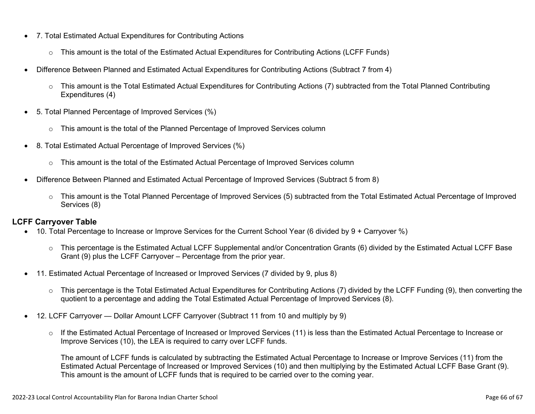- 7. Total Estimated Actual Expenditures for Contributing Actions
	- o This amount is the total of the Estimated Actual Expenditures for Contributing Actions (LCFF Funds)
- Difference Between Planned and Estimated Actual Expenditures for Contributing Actions (Subtract 7 from 4)
	- $\circ$  This amount is the Total Estimated Actual Expenditures for Contributing Actions (7) subtracted from the Total Planned Contributing Expenditures (4)
- 5. Total Planned Percentage of Improved Services (%)
	- $\circ$  This amount is the total of the Planned Percentage of Improved Services column
- 8. Total Estimated Actual Percentage of Improved Services (%)
	- o This amount is the total of the Estimated Actual Percentage of Improved Services column
- Difference Between Planned and Estimated Actual Percentage of Improved Services (Subtract 5 from 8)
	- o This amount is the Total Planned Percentage of Improved Services (5) subtracted from the Total Estimated Actual Percentage of Improved Services (8)

### **LCFF Carryover Table**

- 10. Total Percentage to Increase or Improve Services for the Current School Year (6 divided by 9 + Carryover %)
	- $\circ$  This percentage is the Estimated Actual LCFF Supplemental and/or Concentration Grants (6) divided by the Estimated Actual LCFF Base Grant (9) plus the LCFF Carryover – Percentage from the prior year.
- 11. Estimated Actual Percentage of Increased or Improved Services (7 divided by 9, plus 8)
	- o This percentage is the Total Estimated Actual Expenditures for Contributing Actions (7) divided by the LCFF Funding (9), then converting the quotient to a percentage and adding the Total Estimated Actual Percentage of Improved Services (8).
- 12. LCFF Carryover Dollar Amount LCFF Carryover (Subtract 11 from 10 and multiply by 9)
	- $\circ$  If the Estimated Actual Percentage of Increased or Improved Services (11) is less than the Estimated Actual Percentage to Increase or Improve Services (10), the LEA is required to carry over LCFF funds.

The amount of LCFF funds is calculated by subtracting the Estimated Actual Percentage to Increase or Improve Services (11) from the Estimated Actual Percentage of Increased or Improved Services (10) and then multiplying by the Estimated Actual LCFF Base Grant (9). This amount is the amount of LCFF funds that is required to be carried over to the coming year.